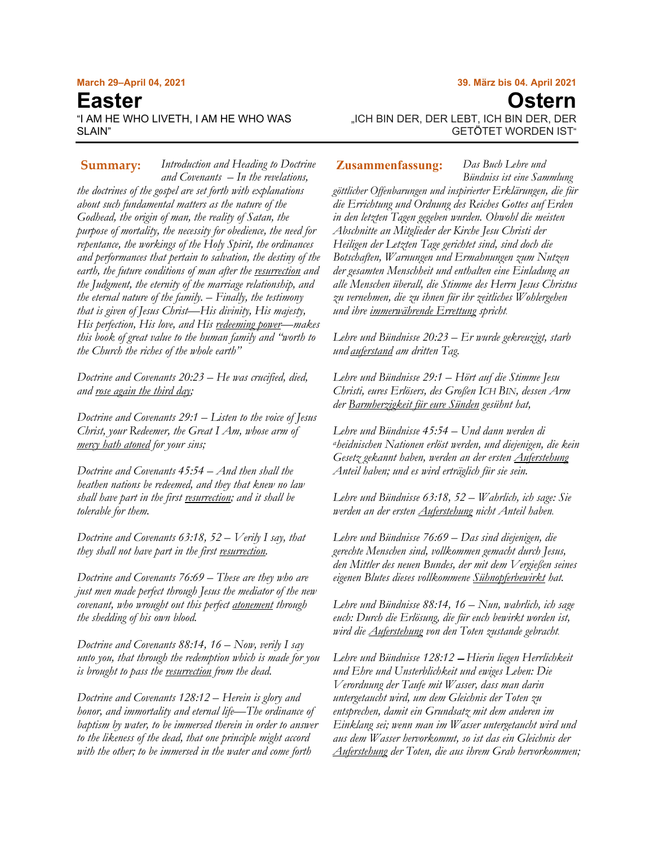#### **March 29–April 04, 2021**

# **Easter** "I AM HE WHO LIVETH, I AM HE WHO WAS SI AIN"

# **39. März bis 04. April 2021 Ostern** "ICH BIN DER, DER LEBT, ICH BIN DER, DER GETÖTET WORDEN IST"

*Introduction and Heading to Doctrine* **Summary: Zusammenfassung:***and Covenants – In the revelations, the doctrines of the gospel are set forth with explanations about such fundamental matters as the nature of the Godhead, the origin of man, the reality of Satan, the purpose of mortality, the necessity for obedience, the need for repentance, the workings of the Holy Spirit, the ordinances and performances that pertain to salvation, the destiny of the earth, the future conditions of man after the resurrection and the Judgment, the eternity of the marriage relationship, and the eternal nature of the family. – Finally, the testimony that is given of Jesus Christ—His divinity, His majesty, His perfection, His love, and His redeeming power—makes this book of great value to the human family and "worth to the Church the riches of the whole earth"* 

*Doctrine and Covenants 20:23 – He was crucified, died, and rose again the third day;*

*Doctrine and Covenants 29:1 – Listen to the voice of Jesus Christ, your Redeemer, the Great I Am, whose arm of mercy hath atoned for your sins;*

*Doctrine and Covenants 45:54 – And then shall the heathen nations be redeemed, and they that knew no law shall have part in the first resurrection; and it shall be tolerable for them.*

*Doctrine and Covenants 63:18, 52 – Verily I say, that they shall not have part in the first resurrection.*

*Doctrine and Covenants 76:69 – These are they who are just men made perfect through Jesus the mediator of the new covenant, who wrought out this perfect atonement through the shedding of his own [blood.](https://www.churchofjesuschrist.org/search?lang=eng&query=atonement&facet=scriptures&highlight=true&page=1&subfacet=dc-testament#note69e)*

*Doctrine and Covenants 88:14, 16 – Now, verily I say unto you, that through the redemption which is made for you is brought to pass the resurrection from the dead.*

*Doctrine and Covenants 128:12 – Herein is glory and honor, and immortality and eternal life—The ordinance of baptism by water, to be immersed therein in order to answer to the likeness of the dead, that one principle might accord with the other; to be immersed in the water and come forth* 

*Das Buch Lehre und Bündniss ist eine Sammlung göttlicher Offenbarungen und inspirierter Erklärungen, die für die Errichtung und Ordnung des Reiches Gottes auf Erden in den letzten Tagen gegeben wurden. Obwohl die meisten Abschnitte an Mitglieder der Kirche Jesu Christi der Heiligen der Letzten Tage gerichtet sind, sind doch die Botschaften, Warnungen und Ermahnungen zum Nutzen der gesamten Menschheit und enthalten eine Einladung an alle Menschen überall, die Stimme des Herrn Jesus Christus zu vernehmen, die zu ihnen für ihr zeitliches Wohlergehen* 

*Lehre und Bündnisse 20:23 – Er wurde gekreuzigt, starb und auferstand am dritten Tag.*

*und ihre immerwährende Errettung spricht.*

*Lehre und Bündnisse 29:1 – Hört auf die Stimme Jesu Christi, eures Erlösers, des Großen ICH BIN, dessen Arm der Barmherzigkeit für eure Sünden gesühnt hat,*

*Lehre und Bündnisse 45:54 – Und dann werden di aheidnischen Nationen erlöst werden, und diejenigen, die kein Gesetz gekannt haben, werden an der ersten Auferstehung Anteil haben; und es wird erträglich für sie sein.*

*Lehre und Bündnisse 63:18, 52 – Wahrlich, ich sage: Sie werden an der ersten Auferstehung nicht Anteil haben.*

*Lehre und Bündnisse 76:69 – Das sind diejenigen, die gerechte Menschen sind, vollkommen gemacht durch Jesus, den Mittler des neuen Bundes, der mit dem Vergießen seines eigenen Blutes dieses vollkommene Sühnopferbewirkt hat.*

*Lehre und Bündnisse 88:14, 16 – Nun, wahrlich, ich sage euch: Durch die Erlösung, die für euch bewirkt worden ist, wird die Auferstehung von den Toten zustande gebracht.*

*Lehre und Bündnisse 128:12* – *Hierin liegen Herrlichkeit und Ehre und Unsterblichkeit und ewiges Leben: Die Verordnung der Taufe mit Wasser, dass man darin untergetaucht wird, um dem Gleichnis der Toten zu entsprechen, damit ein Grundsatz mit dem anderen im Einklang sei; wenn man im Wasser untergetaucht wird und aus dem Wasser hervorkommt, so ist das ein Gleichnis der Auferstehung der Toten, die aus ihrem Grab hervorkommen;*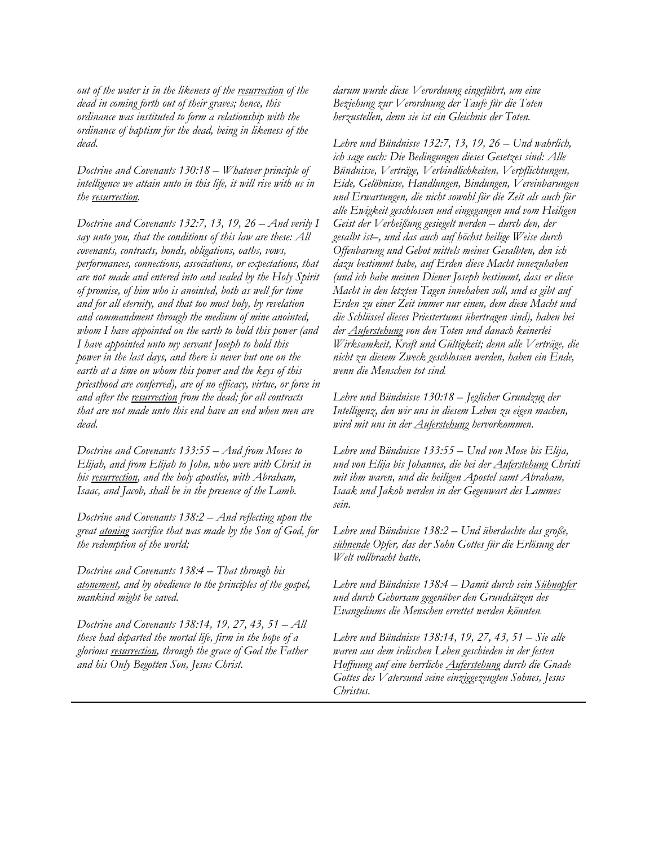*out of the water is in the likeness of the resurrection of the dead in coming forth out of their graves; hence, this ordinance was instituted to form a relationship with the ordinance of baptism for the dead, being in likeness of the dead.*

*Doctrine and Covenants 130:18 – Whatever principle of intelligence we attain unto in this life, it will rise with us in the resurrection.*

*Doctrine and Covenants 132:7, 13, 19, 26 – And verily I say unto you, that the conditions of this law are these: All covenants, contracts, bonds, obligations, oaths, vows, performances, connections, associations, or expectations, that are not made and entered into and sealed by the Holy Spirit of promise, of him who is anointed, both as well for time and for all eternity, and that too most holy, by revelation and commandment through the medium of mine anointed, whom I have appointed on the earth to hold this power (and I have appointed unto my servant Joseph to hold this power in the last days, and there is never but one on the earth at a time on whom this power and the keys of this priesthood are conferred), are of no efficacy, virtue, or force in and after the resurrection from the dead; for all contracts that are not made unto this end have an end when men are dead.*

*Doctrine and Covenants 133:55 – And from Moses to Elijah, and from Elijah to John, who were with Christ in his resurrection, and the holy apostles, with Abraham, Isaac, and Jacob, shall be in the presence of the Lamb.*

*Doctrine and Covenants 138:2 – And reflecting upon the great atoning sacrifice that was made by the Son of God, for the redemption of the world;*

*Doctrine and Covenants 138:4 – That through his atonement, and by obedience to the principles of the gospel, mankind might be saved.*

*Doctrine and Covenants 138:14, 19, 27, 43, 51 – All these had departed the mortal life, firm in the hope of a glorious resurrection, through the grace of God the Father and his Only Begotten Son, Jesus Christ.*

*darum wurde diese Verordnung eingeführt, um eine Beziehung zur Verordnung der Taufe für die Toten herzustellen, denn sie ist ein Gleichnis der Toten.*

*Lehre und Bündnisse 132:7, 13, 19, 26 – Und wahrlich, ich sage euch: Die Bedingungen dieses Gesetzes sind: Alle Bündnisse, Verträge, Verbindlichkeiten, Verpflichtungen, Eide, Gelöbnisse, Handlungen, Bindungen, Vereinbarungen und Erwartungen, die nicht sowohl für die Zeit als auch für alle Ewigkeit geschlossen und eingegangen und vom Heiligen Geist der Verheißung gesiegelt werden – durch den, der gesalbt ist–, und das auch auf höchst heilige Weise durch Offenbarung und Gebot mittels meines Gesalbten, den ich dazu bestimmt habe, auf Erden diese Macht innezuhaben (und ich habe meinen Diener Joseph bestimmt, dass er diese Macht in den letzten Tagen innehaben soll, und es gibt auf Erden zu einer Zeit immer nur einen, dem diese Macht und die Schlüssel dieses Priestertums übertragen sind), haben bei der Auferstehung von den Toten und danach keinerlei Wirksamkeit, Kraft und Gültigkeit; denn alle Verträge, die nicht zu diesem Zweck geschlossen werden, haben ein Ende, wenn die Menschen tot sind.*

*Lehre und Bündnisse 130:18 – Jeglicher Grundzug der Intelligenz, den wir uns in diesem Leben zu eigen machen, wird mit uns in der Auferstehung hervorkommen.*

*Lehre und Bündnisse 133:55 – Und von Mose bis Elija, und von Elija bis Johannes, die bei der Auferstehung Christi mit ihm waren, und die heiligen Apostel samt Abraham, Isaak und Jakob werden in der Gegenwart des Lammes sein.*

*Lehre und Bündnisse 138:2 – Und überdachte das große, sühnende Opfer, das der Sohn Gottes für die Erlösung der Welt vollbracht hatte,*

*Lehre und Bündnisse 138:4 – Damit durch sein Sühnopfer und durch Gehorsam gegenüber den Grundsätzen des Evangeliums die Menschen errettet werden könnten.*

*Lehre und Bündnisse 138:14, 19, 27, 43, 51 – Sie alle waren aus dem irdischen Leben geschieden in der festen Hoffnung auf eine herrliche Auferstehung durch die Gnade Gottes des Vatersund seine einziggezeugten Sohnes, Jesus Christus.*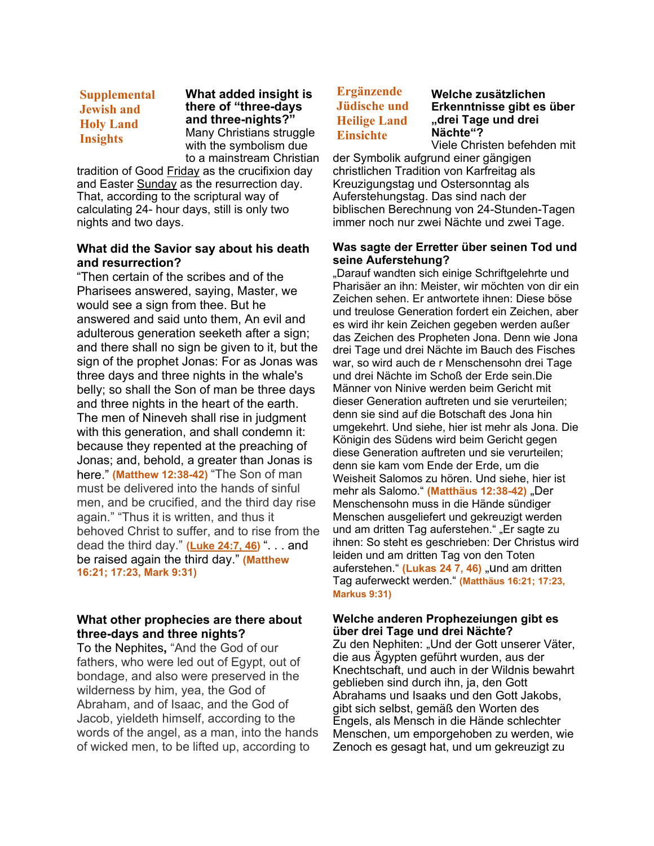# **Supplemental Jewish and Holy Land Insights**

**What added insight is there of "three-days and three-nights?"** Many Christians struggle with the symbolism due to a mainstream Christian

tradition of Good Friday as the crucifixion day and Easter Sunday as the resurrection day. That, according to the scriptural way of calculating 24- hour days, still is only two nights and two days.

### **What did the Savior say about his death and resurrection?**

"Then certain of the scribes and of the Pharisees answered, saying, Master, we would see a sign from thee. But he answered and said unto them, An evil and adulterous generation seeketh after a sign; and there shall no sign be given to it, but the sign of the prophet Jonas: For as Jonas was three days and three nights in the whale's belly; so shall the Son of man be three days and three nights in the heart of the earth. The men of Nineveh shall rise in judgment with this generation, and shall condemn it: because they repented at the preaching of Jonas; and, behold, a greater than Jonas is here." **(Matthew 12:38-42)** "The Son of man must be delivered into the hands of sinful men, and be crucified, and the third day rise again." "Thus it is written, and thus it behoved Christ to suffer, and to rise from the dead the third day." **[\(Luke](https://www.lds.org/scriptures/nt/luke/24.7,21,46?lang=eng&clang=eng#p6) 24:7, 46)** ". . . and be raised again the third day." **(Matthew 16:21; 17:23, Mark 9:31)**

# **What other prophecies are there about three-days and three nights?**

To the Nephites**,** "And the God of our fathers, who were led out of Egypt, out of bondage, and also were preserved in the wilderness by him, yea, the God of Abraham, and of Isaac, and the God of Jacob, yieldeth himself, according to the words of the angel, as a man, into the hands of wicked men, to be lifted up, according to

# **Ergänzende Jüdische und Heilige Land Einsichte**

#### **Welche zusätzlichen Erkenntnisse gibt es über "drei Tage und drei Nächte"?**

Viele Christen befehden mit der Symbolik aufgrund einer gängigen christlichen Tradition von Karfreitag als Kreuzigungstag und Ostersonntag als Auferstehungstag. Das sind nach der biblischen Berechnung von 24-Stunden-Tagen immer noch nur zwei Nächte und zwei Tage.

## **Was sagte der Erretter über seinen Tod und seine Auferstehung?**

"Darauf wandten sich einige Schriftgelehrte und Pharisäer an ihn: Meister, wir möchten von dir ein Zeichen sehen. Er antwortete ihnen: Diese böse und treulose Generation fordert ein Zeichen, aber es wird ihr kein Zeichen gegeben werden außer das Zeichen des Propheten Jona. Denn wie Jona drei Tage und drei Nächte im Bauch des Fisches war, so wird auch de r Menschensohn drei Tage und drei Nächte im Schoß der Erde sein.Die Männer von Ninive werden beim Gericht mit dieser Generation auftreten und sie verurteilen; denn sie sind auf die Botschaft des Jona hin umgekehrt. Und siehe, hier ist mehr als Jona. Die Königin des Südens wird beim Gericht gegen diese Generation auftreten und sie verurteilen; denn sie kam vom Ende der Erde, um die Weisheit Salomos zu hören. Und siehe, hier ist mehr als Salomo." (Matthäus 12:38-42) "Der Menschensohn muss in die Hände sündiger Menschen ausgeliefert und gekreuzigt werden und am dritten Tag auferstehen." "Er sagte zu ihnen: So steht es geschrieben: Der Christus wird leiden und am dritten Tag von den Toten auferstehen." (Lukas 24 7, 46) "und am dritten Tag auferweckt werden." **(Matthäus 16:21; 17:23, Markus 9:31)**

# **Welche anderen Prophezeiungen gibt es über drei Tage und drei Nächte?**

Zu den Nephiten: "Und der Gott unserer Väter, die aus Ägypten geführt wurden, aus der Knechtschaft, und auch in der Wildnis bewahrt geblieben sind durch ihn, ja, den Gott Abrahams und Isaaks und den Gott Jakobs, gibt sich selbst, gemäß den Worten des Engels, als Mensch in die Hände schlechter Menschen, um emporgehoben zu werden, wie Zenoch es gesagt hat, und um gekreuzigt zu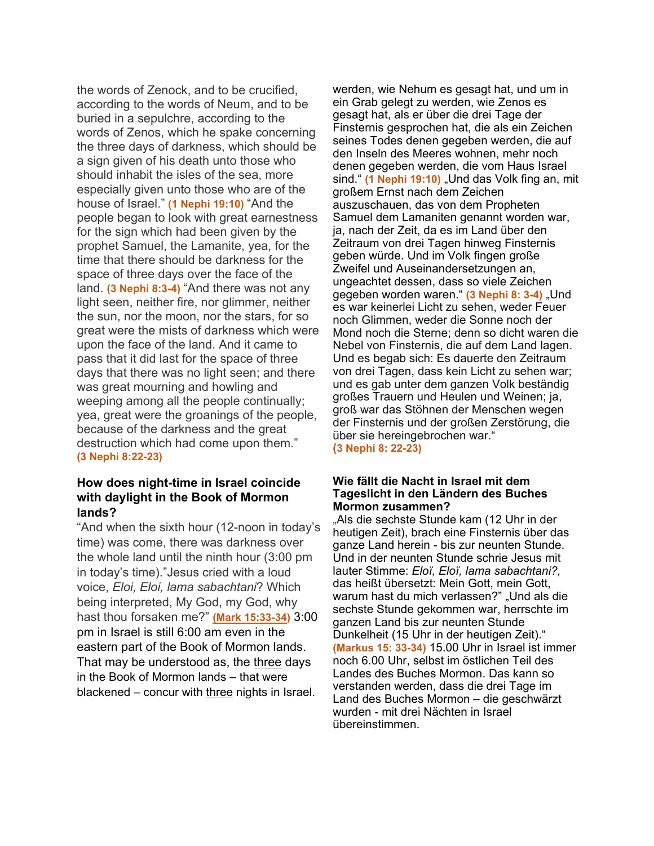the words of Zenock, and to be crucified, according to the words of Neum, and to be buried in a sepulchre, according to the words of Zenos, which he spake concerning the three days of darkness, which should be a sign given of his death unto those who should inhabit the isles of the sea, more especially given unto those who are of the house of Israel." **(1 Nephi 19:10)** "And the people began to look with great earnestness for the sign which had been given by the prophet Samuel, the Lamanite, yea, for the time that there should be darkness for the space of three days over the face of the land. **(3 Nephi 8:3-4)** "And there was not any light seen, neither fire, nor glimmer, neither the sun, nor the moon, nor the stars, for so great were the mists of darkness which were upon the face of the land. And it came to pass that it did last for the space of three days that there was no light seen; and there was great mourning and howling and weeping among all the people continually; yea, great were the groanings of the people, because of the darkness and the great destruction which had come upon them." **(3 Nephi 8:22-23)**

# **How does night-time in Israel coincide with daylight in the Book of Mormon lands?**

"And when the sixth hour (12-noon in today's time) was come, there was darkness over the whole land until the ninth hour (3:00 pm in today's time)."Jesus cried with a loud voice, *Eloi, Eloi, lama sabachtani*? Which being interpreted, My God, my God, why hast thou forsaken me?" **(Mark [15:33-34\)](https://www.lds.org/scriptures/nt/mark/15.33-34?lang=eng&clang=eng#p32)** 3:00 pm in Israel is still 6:00 am even in the eastern part of the Book of Mormon lands. That may be understood as, the three days in the Book of Mormon lands – that were blackened – concur with three nights in Israel.

werden, wie Nehum es gesagt hat, und um in ein Grab gelegt zu werden, wie Zenos es gesagt hat, als er über die drei Tage der Finsternis gesprochen hat, die als ein Zeichen seines Todes denen gegeben werden, die auf den Inseln des Meeres wohnen, mehr noch denen gegeben werden, die vom Haus Israel sind." **(1 Nephi 19:10)** "Und das Volk fing an, mit großem Ernst nach dem Zeichen auszuschauen, das von dem Propheten Samuel dem Lamaniten genannt worden war, ja, nach der Zeit, da es im Land über den Zeitraum von drei Tagen hinweg Finsternis geben würde. Und im Volk fingen große Zweifel und Auseinandersetzungen an, ungeachtet dessen, dass so viele Zeichen gegeben worden waren." (3 Nephi 8: 3-4) "Und es war keinerlei Licht zu sehen, weder Feuer noch Glimmen, weder die Sonne noch der Mond noch die Sterne; denn so dicht waren die Nebel von Finsternis, die auf dem Land lagen. Und es begab sich: Es dauerte den Zeitraum von drei Tagen, dass kein Licht zu sehen war; und es gab unter dem ganzen Volk beständig großes Trauern und Heulen und Weinen; ja, groß war das Stöhnen der Menschen wegen der Finsternis und der großen Zerstörung, die über sie hereingebrochen war." **(3 Nephi 8: 22-23)**

#### **Wie fällt die Nacht in Israel mit dem Tageslicht in den Ländern des Buches Mormon zusammen?**

"Als die sechste Stunde kam (12 Uhr in der heutigen Zeit), brach eine Finsternis über das ganze Land herein - bis zur neunten Stunde. Und in der neunten Stunde schrie Jesus mit lauter Stimme: *Eloï, Eloï, lama sabachtani?,* das heißt übersetzt: Mein Gott, mein Gott, warum hast du mich verlassen?" "Und als die sechste Stunde gekommen war, herrschte im ganzen Land bis zur neunten Stunde Dunkelheit (15 Uhr in der heutigen Zeit)." **(Markus 15: 33-34)** 15.00 Uhr in Israel ist immer noch 6.00 Uhr, selbst im östlichen Teil des Landes des Buches Mormon. Das kann so verstanden werden, dass die drei Tage im Land des Buches Mormon – die geschwärzt wurden - mit drei Nächten in Israel übereinstimmen.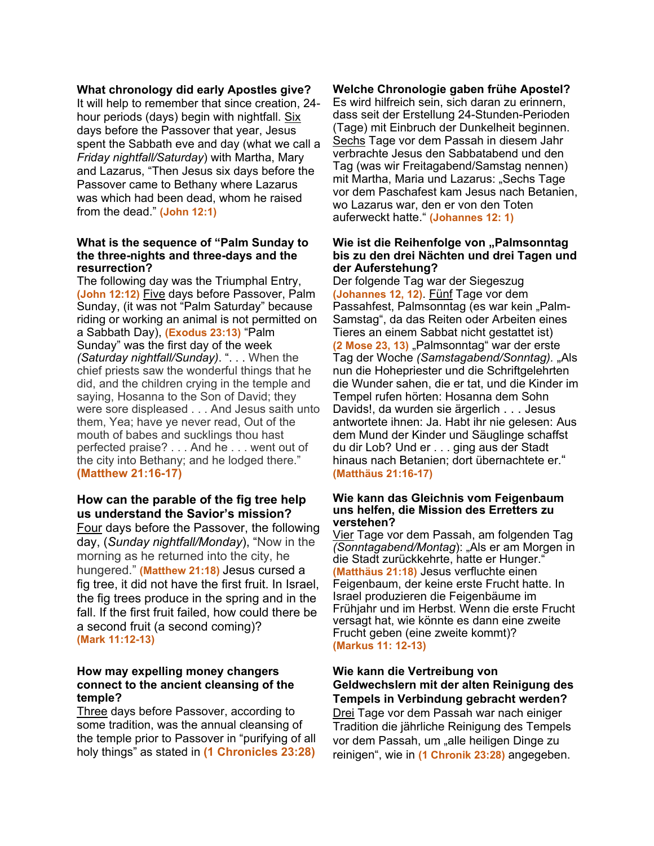#### **What chronology did early Apostles give?**

It will help to remember that since creation, 24 hour periods (days) begin with nightfall. Six days before the Passover that year, Jesus spent the Sabbath eve and day (what we call a *Friday nightfall/Saturday*) with Martha, Mary and Lazarus, "Then Jesus six days before the Passover came to Bethany where Lazarus was which had been dead, whom he raised from the dead." **(John 12:1)**

#### **What is the sequence of "Palm Sunday to the three-nights and three-days and the resurrection?**

The following day was the Triumphal Entry, **(John 12:12)** Five days before Passover, Palm Sunday, (it was not "Palm Saturday" because riding or working an animal is not permitted on a Sabbath Day), **(Exodus 23:13)** "Palm Sunday" was the first day of the week *(Saturday nightfall/Sunday)*. ". . . When the chief priests saw the wonderful things that he did, and the children crying in the temple and saying, Hosanna to the Son of David; they were sore displeased . . . And Jesus saith unto them, Yea; have ye never read, Out of the mouth of babes and sucklings thou hast perfected praise? . . . And he . . . went out of the city into Bethany; and he lodged there." **(Matthew 21:16-17)**

# **How can the parable of the fig tree help us understand the Savior's mission?**

Four days before the Passover, the following day, (*Sunday nightfall/Monday*), "Now in the morning as he returned into the city, he hungered." **(Matthew 21:18)** Jesus cursed a fig tree, it did not have the first fruit. In Israel, the fig trees produce in the spring and in the fall. If the first fruit failed, how could there be a second fruit (a second coming)? **(Mark 11:12-13)**

#### **How may expelling money changers connect to the ancient cleansing of the temple?**

Three days before Passover, according to some tradition, was the annual cleansing of the temple prior to Passover in "purifying of all holy things" as stated in **(1 Chronicles 23:28)**

## **Welche Chronologie gaben frühe Apostel?**

Es wird hilfreich sein, sich daran zu erinnern, dass seit der Erstellung 24-Stunden-Perioden (Tage) mit Einbruch der Dunkelheit beginnen. Sechs Tage vor dem Passah in diesem Jahr verbrachte Jesus den Sabbatabend und den Tag (was wir Freitagabend/Samstag nennen) mit Martha, Maria und Lazarus: "Sechs Tage vor dem Paschafest kam Jesus nach Betanien, wo Lazarus war, den er von den Toten auferweckt hatte." **(Johannes 12: 1)**

#### Wie ist die Reihenfolge von "Palmsonntag **bis zu den drei Nächten und drei Tagen und der Auferstehung?**

Der folgende Tag war der Siegeszug **(Johannes 12, 12)**. Fünf Tage vor dem Passahfest, Palmsonntag (es war kein "Palm-Samstag", da das Reiten oder Arbeiten eines Tieres an einem Sabbat nicht gestattet ist) **(2 Mose 23, 13)** "Palmsonntag" war der erste Tag der Woche *(Samstagabend/Sonntag).* "Als nun die Hohepriester und die Schriftgelehrten die Wunder sahen, die er tat, und die Kinder im Tempel rufen hörten: Hosanna dem Sohn Davids!, da wurden sie ärgerlich . . . Jesus antwortete ihnen: Ja. Habt ihr nie gelesen: Aus dem Mund der Kinder und Säuglinge schaffst du dir Lob? Und er . . . ging aus der Stadt hinaus nach Betanien; dort übernachtete er." **(Matthäus 21:16-17)**

#### **Wie kann das Gleichnis vom Feigenbaum uns helfen, die Mission des Erretters zu verstehen?**

Vier Tage vor dem Passah, am folgenden Tag *(Sonntagabend/Montag): "Als er am Morgen in* die Stadt zurückkehrte, hatte er Hunger." **(Matthäus 21:18)** Jesus verfluchte einen Feigenbaum, der keine erste Frucht hatte. In Israel produzieren die Feigenbäume im Frühjahr und im Herbst. Wenn die erste Frucht versagt hat, wie könnte es dann eine zweite Frucht geben (eine zweite kommt)? **(Markus 11: 12-13)**

# **Wie kann die Vertreibung von Geldwechslern mit der alten Reinigung des Tempels in Verbindung gebracht werden?**

Drei Tage vor dem Passah war nach einiger Tradition die jährliche Reinigung des Tempels vor dem Passah, um "alle heiligen Dinge zu reinigen", wie in **(1 Chronik 23:28)** angegeben.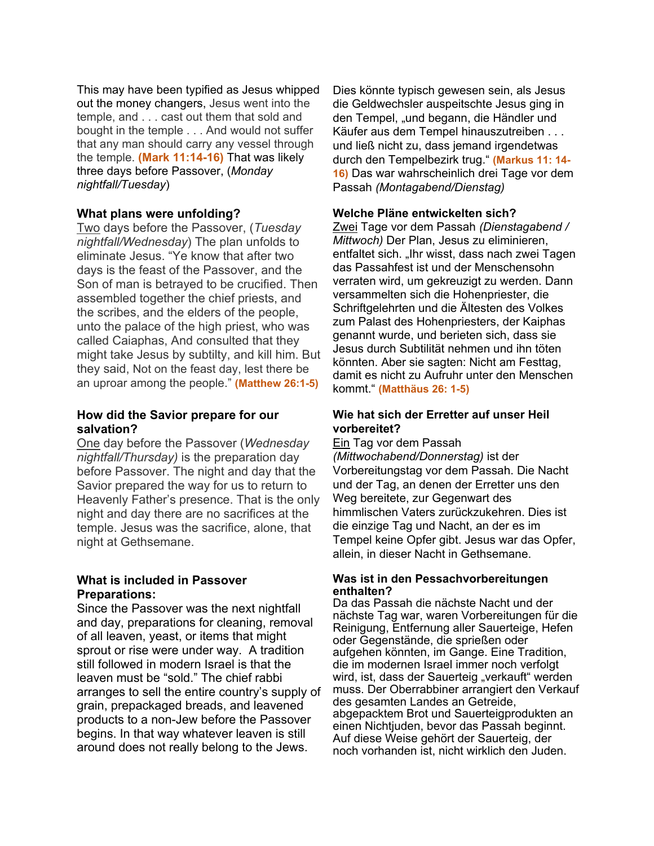This may have been typified as Jesus whipped out the money changers, Jesus went into the temple, and . . . cast out them that sold and bought in the temple . . . And would not suffer that any man should carry any vessel through the temple. **(Mark 11:14-16)** That was likely three days before Passover, (*Monday nightfall/Tuesday*)

# **What plans were unfolding?**

Two days before the Passover, (*Tuesday nightfall/Wednesday*) The plan unfolds to eliminate Jesus. "Ye know that after two days is the feast of the Passover, and the Son of man is betrayed to be crucified. Then assembled together the chief priests, and the scribes, and the elders of the people, unto the palace of the high priest, who was called Caiaphas, And consulted that they might take Jesus by subtilty, and kill him. But they said, Not on the feast day, lest there be an uproar among the people." **(Matthew 26:1-5)**

# **How did the Savior prepare for our salvation?**

One day before the Passover (*Wednesday nightfall/Thursday)* is the preparation day before Passover. The night and day that the Savior prepared the way for us to return to Heavenly Father's presence. That is the only night and day there are no sacrifices at the temple. Jesus was the sacrifice, alone, that night at Gethsemane.

# **What is included in Passover Preparations:**

Since the Passover was the next nightfall and day, preparations for cleaning, removal of all leaven, yeast, or items that might sprout or rise were under way. A tradition still followed in modern Israel is that the leaven must be "sold." The chief rabbi arranges to sell the entire country's supply of grain, prepackaged breads, and leavened products to a non-Jew before the Passover begins. In that way whatever leaven is still around does not really belong to the Jews.

Dies könnte typisch gewesen sein, als Jesus die Geldwechsler auspeitschte Jesus ging in den Tempel, "und begann, die Händler und Käufer aus dem Tempel hinauszutreiben . . . und ließ nicht zu, dass jemand irgendetwas durch den Tempelbezirk trug." **(Markus 11: 14- 16)** Das war wahrscheinlich drei Tage vor dem Passah *(Montagabend/Dienstag)*

# **Welche Pläne entwickelten sich?**

Zwei Tage vor dem Passah *(Dienstagabend / Mittwoch)* Der Plan, Jesus zu eliminieren, entfaltet sich. "Ihr wisst, dass nach zwei Tagen das Passahfest ist und der Menschensohn verraten wird, um gekreuzigt zu werden. Dann versammelten sich die Hohenpriester, die Schriftgelehrten und die Ältesten des Volkes zum Palast des Hohenpriesters, der Kaiphas genannt wurde, und berieten sich, dass sie Jesus durch Subtilität nehmen und ihn töten könnten. Aber sie sagten: Nicht am Festtag, damit es nicht zu Aufruhr unter den Menschen kommt." **(Matthäus 26: 1-5)**

# **Wie hat sich der Erretter auf unser Heil vorbereitet?**

Ein Tag vor dem Passah *(Mittwochabend/Donnerstag)* ist der Vorbereitungstag vor dem Passah. Die Nacht und der Tag, an denen der Erretter uns den Weg bereitete, zur Gegenwart des himmlischen Vaters zurückzukehren. Dies ist die einzige Tag und Nacht, an der es im Tempel keine Opfer gibt. Jesus war das Opfer, allein, in dieser Nacht in Gethsemane.

### **Was ist in den Pessachvorbereitungen enthalten?**

Da das Passah die nächste Nacht und der nächste Tag war, waren Vorbereitungen für die Reinigung, Entfernung aller Sauerteige, Hefen oder Gegenstände, die sprießen oder aufgehen könnten, im Gange. Eine Tradition, die im modernen Israel immer noch verfolgt wird, ist, dass der Sauerteig "verkauft" werden muss. Der Oberrabbiner arrangiert den Verkauf des gesamten Landes an Getreide, abgepacktem Brot und Sauerteigprodukten an einen Nichtjuden, bevor das Passah beginnt. Auf diese Weise gehört der Sauerteig, der noch vorhanden ist, nicht wirklich den Juden.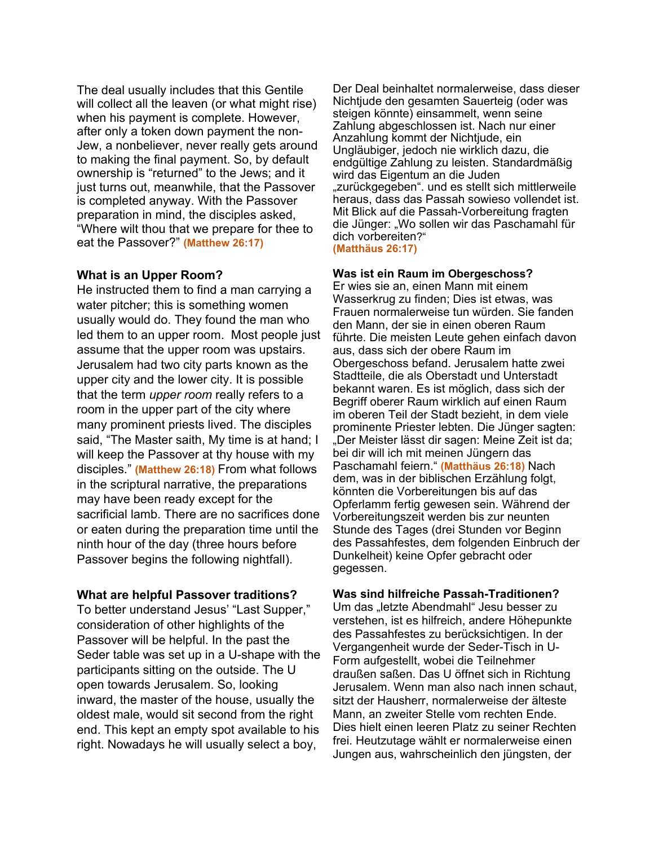The deal usually includes that this Gentile will collect all the leaven (or what might rise) when his payment is complete. However, after only a token down payment the non-Jew, a nonbeliever, never really gets around to making the final payment. So, by default ownership is "returned" to the Jews; and it just turns out, meanwhile, that the Passover is completed anyway. With the Passover preparation in mind, the disciples asked, "Where wilt thou that we prepare for thee to eat the Passover?" **(Matthew 26:17)**

### **What is an Upper Room?**

He instructed them to find a man carrying a water pitcher; this is something women usually would do. They found the man who led them to an upper room. Most people just assume that the upper room was upstairs. Jerusalem had two city parts known as the upper city and the lower city. It is possible that the term *upper room* really refers to a room in the upper part of the city where many prominent priests lived. The disciples said, "The Master saith, My time is at hand; I will keep the Passover at thy house with my disciples." **(Matthew 26:18)** From what follows in the scriptural narrative, the preparations may have been ready except for the sacrificial lamb. There are no sacrifices done or eaten during the preparation time until the ninth hour of the day (three hours before Passover begins the following nightfall).

#### **What are helpful Passover traditions?**

To better understand Jesus' "Last Supper," consideration of other highlights of the Passover will be helpful. In the past the Seder table was set up in a U-shape with the participants sitting on the outside. The U open towards Jerusalem. So, looking inward, the master of the house, usually the oldest male, would sit second from the right end. This kept an empty spot available to his right. Nowadays he will usually select a boy,

Der Deal beinhaltet normalerweise, dass dieser Nichtjude den gesamten Sauerteig (oder was steigen könnte) einsammelt, wenn seine Zahlung abgeschlossen ist. Nach nur einer Anzahlung kommt der Nichtjude, ein Ungläubiger, jedoch nie wirklich dazu, die endgültige Zahlung zu leisten. Standardmäßig wird das Eigentum an die Juden "zurückgegeben". und es stellt sich mittlerweile heraus, dass das Passah sowieso vollendet ist. Mit Blick auf die Passah-Vorbereitung fragten die Jünger: "Wo sollen wir das Paschamahl für dich vorbereiten?"

**(Matthäus 26:17)**

#### **Was ist ein Raum im Obergeschoss?**

Er wies sie an, einen Mann mit einem Wasserkrug zu finden; Dies ist etwas, was Frauen normalerweise tun würden. Sie fanden den Mann, der sie in einen oberen Raum führte. Die meisten Leute gehen einfach davon aus, dass sich der obere Raum im Obergeschoss befand. Jerusalem hatte zwei Stadtteile, die als Oberstadt und Unterstadt bekannt waren. Es ist möglich, dass sich der Begriff oberer Raum wirklich auf einen Raum im oberen Teil der Stadt bezieht, in dem viele prominente Priester lebten. Die Jünger sagten: "Der Meister lässt dir sagen: Meine Zeit ist da; bei dir will ich mit meinen Jüngern das Paschamahl feiern." **(Matthäus 26:18)** Nach dem, was in der biblischen Erzählung folgt, könnten die Vorbereitungen bis auf das Opferlamm fertig gewesen sein. Während der Vorbereitungszeit werden bis zur neunten Stunde des Tages (drei Stunden vor Beginn des Passahfestes, dem folgenden Einbruch der Dunkelheit) keine Opfer gebracht oder gegessen.

## **Was sind hilfreiche Passah-Traditionen?**

Um das "letzte Abendmahl" Jesu besser zu verstehen, ist es hilfreich, andere Höhepunkte des Passahfestes zu berücksichtigen. In der Vergangenheit wurde der Seder-Tisch in U-Form aufgestellt, wobei die Teilnehmer draußen saßen. Das U öffnet sich in Richtung Jerusalem. Wenn man also nach innen schaut, sitzt der Hausherr, normalerweise der älteste Mann, an zweiter Stelle vom rechten Ende. Dies hielt einen leeren Platz zu seiner Rechten frei. Heutzutage wählt er normalerweise einen Jungen aus, wahrscheinlich den jüngsten, der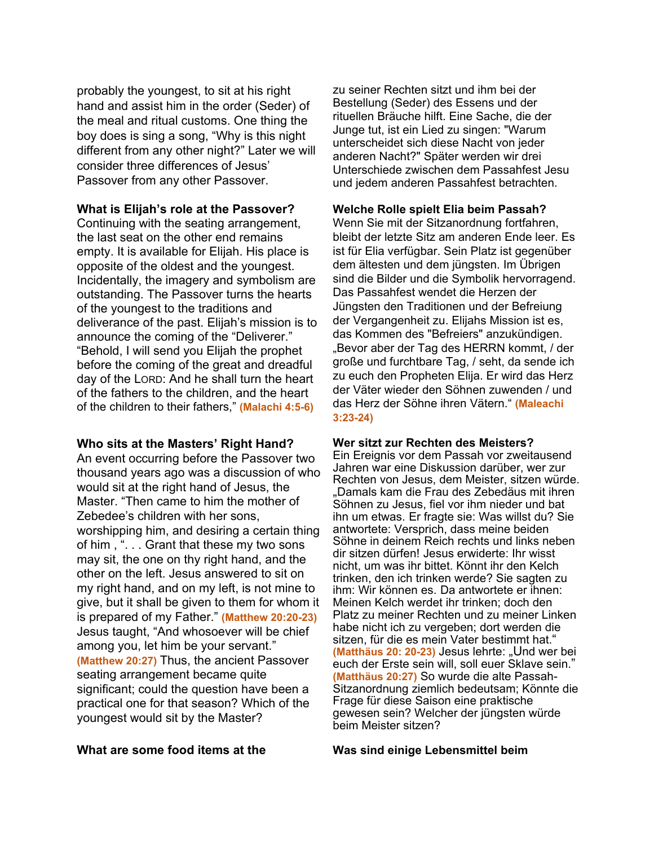probably the youngest, to sit at his right hand and assist him in the order (Seder) of the meal and ritual customs. One thing the boy does is sing a song, "Why is this night different from any other night?" Later we will consider three differences of Jesus' Passover from any other Passover.

#### **What is Elijah's role at the Passover?**

Continuing with the seating arrangement, the last seat on the other end remains empty. It is available for Elijah. His place is opposite of the oldest and the youngest. Incidentally, the imagery and symbolism are outstanding. The Passover turns the hearts of the youngest to the traditions and deliverance of the past. Elijah's mission is to announce the coming of the "Deliverer." "Behold, I will send you Elijah the prophet before the coming of the great and dreadful day of the LORD: And he shall turn the heart of the fathers to the children, and the heart of the children to their fathers," **(Malachi 4:5-6)**

### **Who sits at the Masters' Right Hand?**

An event occurring before the Passover two thousand years ago was a discussion of who would sit at the right hand of Jesus, the Master. "Then came to him the mother of Zebedee's children with her sons, worshipping him, and desiring a certain thing of him , ". . . Grant that these my two sons may sit, the one on thy right hand, and the other on the left. Jesus answered to sit on my right hand, and on my left, is not mine to give, but it shall be given to them for whom it is prepared of my Father." **(Matthew 20:20-23)** Jesus taught, "And whosoever will be chief among you, let him be your servant." **(Matthew 20:27)** Thus, the ancient Passover seating arrangement became quite significant; could the question have been a practical one for that season? Which of the youngest would sit by the Master?

zu seiner Rechten sitzt und ihm bei der Bestellung (Seder) des Essens und der rituellen Bräuche hilft. Eine Sache, die der Junge tut, ist ein Lied zu singen: "Warum unterscheidet sich diese Nacht von jeder anderen Nacht?" Später werden wir drei Unterschiede zwischen dem Passahfest Jesu und jedem anderen Passahfest betrachten.

#### **Welche Rolle spielt Elia beim Passah?**

Wenn Sie mit der Sitzanordnung fortfahren, bleibt der letzte Sitz am anderen Ende leer. Es ist für Elia verfügbar. Sein Platz ist gegenüber dem ältesten und dem jüngsten. Im Übrigen sind die Bilder und die Symbolik hervorragend. Das Passahfest wendet die Herzen der Jüngsten den Traditionen und der Befreiung der Vergangenheit zu. Elijahs Mission ist es, das Kommen des "Befreiers" anzukündigen. "Bevor aber der Tag des HERRN kommt, / der große und furchtbare Tag, / seht, da sende ich zu euch den Propheten Elija. Er wird das Herz der Väter wieder den Söhnen zuwenden / und das Herz der Söhne ihren Vätern." **(Maleachi 3:23-24)**

#### **Wer sitzt zur Rechten des Meisters?**

Ein Ereignis vor dem Passah vor zweitausend Jahren war eine Diskussion darüber, wer zur Rechten von Jesus, dem Meister, sitzen würde. "Damals kam die Frau des Zebedäus mit ihren Söhnen zu Jesus, fiel vor ihm nieder und bat ihn um etwas. Er fragte sie: Was willst du? Sie antwortete: Versprich, dass meine beiden Söhne in deinem Reich rechts und links neben dir sitzen dürfen! Jesus erwiderte: Ihr wisst nicht, um was ihr bittet. Könnt ihr den Kelch trinken, den ich trinken werde? Sie sagten zu ihm: Wir können es. Da antwortete er ihnen: Meinen Kelch werdet ihr trinken; doch den Platz zu meiner Rechten und zu meiner Linken habe nicht ich zu vergeben; dort werden die sitzen, für die es mein Vater bestimmt hat." **(Matthäus 20: 20-23)** Jesus lehrte: "Und wer bei euch der Erste sein will, soll euer Sklave sein." **(Matthäus 20:27)** So wurde die alte Passah-Sitzanordnung ziemlich bedeutsam; Könnte die Frage für diese Saison eine praktische gewesen sein? Welcher der jüngsten würde beim Meister sitzen?

#### **What are some food items at the Was sind einige Lebensmittel beim**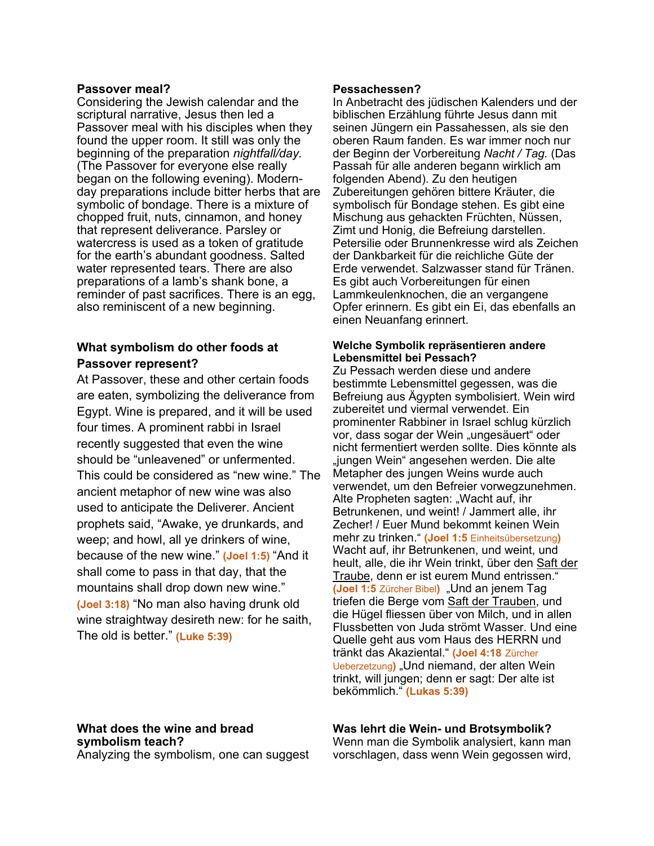#### **Passover meal?**

Considering the Jewish calendar and the scriptural narrative, Jesus then led a Passover meal with his disciples when they found the upper room. It still was only the beginning of the preparation *nightfall/day.* (The Passover for everyone else really began on the following evening). Modernday preparations include bitter herbs that are symbolic of bondage. There is a mixture of chopped fruit, nuts, cinnamon, and honey that represent deliverance. Parsley or watercress is used as a token of gratitude for the earth's abundant goodness. Salted water represented tears. There are also preparations of a lamb's shank bone, a reminder of past sacrifices. There is an egg, also reminiscent of a new beginning.

# **What symbolism do other foods at Passover represent?**

At Passover, these and other certain foods are eaten, symbolizing the deliverance from Egypt. Wine is prepared, and it will be used four times. A prominent rabbi in Israel recently suggested that even the wine should be "unleavened" or unfermented. This could be considered as "new wine." The ancient metaphor of new wine was also used to anticipate the Deliverer. Ancient prophets said, "Awake, ye drunkards, and weep; and howl, all ye drinkers of wine, because of the new wine." **(Joel 1:5)** "And it shall come to pass in that day, that the mountains shall drop down new wine." **(Joel 3:18)** "No man also having drunk old wine straightway desireth new: for he saith, The old is better." **(Luke 5:39)**

# **What does the wine and bread symbolism teach?**

Analyzing the symbolism, one can suggest

#### **Pessachessen?**

In Anbetracht des jüdischen Kalenders und der biblischen Erzählung führte Jesus dann mit seinen Jüngern ein Passahessen, als sie den oberen Raum fanden. Es war immer noch nur der Beginn der Vorbereitung *Nacht / Tag.* (Das Passah für alle anderen begann wirklich am folgenden Abend). Zu den heutigen Zubereitungen gehören bittere Kräuter, die symbolisch für Bondage stehen. Es gibt eine Mischung aus gehackten Früchten, Nüssen, Zimt und Honig, die Befreiung darstellen. Petersilie oder Brunnenkresse wird als Zeichen der Dankbarkeit für die reichliche Güte der Erde verwendet. Salzwasser stand für Tränen. Es gibt auch Vorbereitungen für einen Lammkeulenknochen, die an vergangene Opfer erinnern. Es gibt ein Ei, das ebenfalls an einen Neuanfang erinnert.

#### **Welche Symbolik repräsentieren andere Lebensmittel bei Pessach?**

Zu Pessach werden diese und andere bestimmte Lebensmittel gegessen, was die Befreiung aus Ägypten symbolisiert. Wein wird zubereitet und viermal verwendet. Ein prominenter Rabbiner in Israel schlug kürzlich vor, dass sogar der Wein "ungesäuert" oder nicht fermentiert werden sollte. Dies könnte als "jungen Wein" angesehen werden. Die alte Metapher des jungen Weins wurde auch verwendet, um den Befreier vorwegzunehmen. Alte Propheten sagten: "Wacht auf, ihr Betrunkenen, und weint! / Jammert alle, ihr Zecher! / Euer Mund bekommt keinen Wein mehr zu trinken." **(Joel 1:5** Einheitsübersetzung**)** Wacht auf, ihr Betrunkenen, und weint, und heult, alle, die ihr Wein trinkt, über den Saft der Traube, denn er ist eurem Mund entrissen." **(Joel 1:5** Zürcher Bibel**)** "Und an jenem Tag triefen die Berge vom Saft der Trauben, und die Hügel fliessen über von Milch, und in allen Flussbetten von Juda strömt Wasser. Und eine Quelle geht aus vom Haus des HERRN und tränkt das Akaziental." **(Joel 4:18** Zürcher Ueberzetzung) "Und niemand, der alten Wein trinkt, will jungen; denn er sagt: Der alte ist bekömmlich." **(Lukas 5:39)**

### **Was lehrt die Wein- und Brotsymbolik?**

Wenn man die Symbolik analysiert, kann man vorschlagen, dass wenn Wein gegossen wird,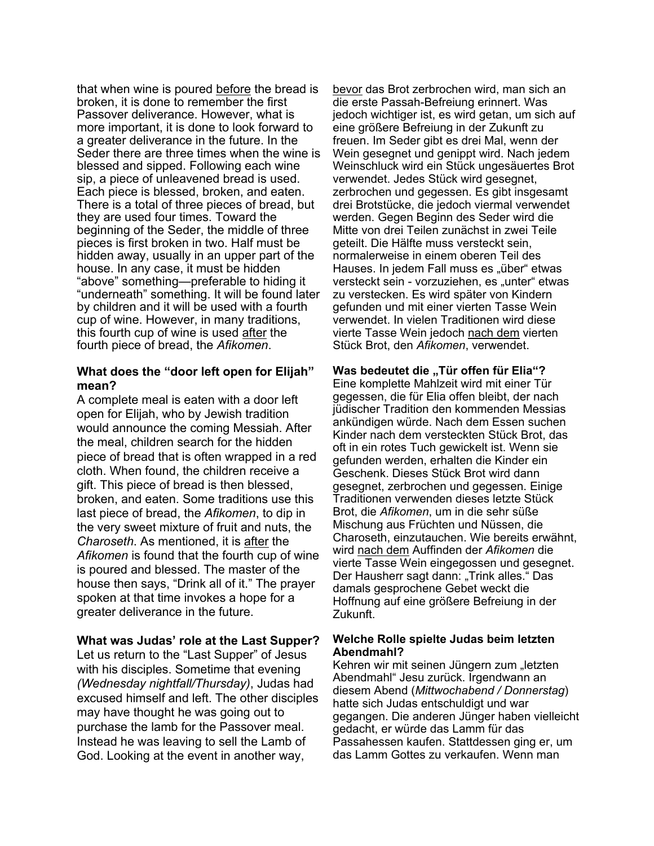that when wine is poured before the bread is broken, it is done to remember the first Passover deliverance. However, what is more important, it is done to look forward to a greater deliverance in the future. In the Seder there are three times when the wine is blessed and sipped. Following each wine sip, a piece of unleavened bread is used. Each piece is blessed, broken, and eaten. There is a total of three pieces of bread, but they are used four times. Toward the beginning of the Seder, the middle of three pieces is first broken in two. Half must be hidden away, usually in an upper part of the house. In any case, it must be hidden "above" something—preferable to hiding it "underneath" something. It will be found later by children and it will be used with a fourth cup of wine. However, in many traditions, this fourth cup of wine is used after the fourth piece of bread, the *Afikomen*.

# **What does the "door left open for Elijah" mean?**

A complete meal is eaten with a door left open for Elijah, who by Jewish tradition would announce the coming Messiah. After the meal, children search for the hidden piece of bread that is often wrapped in a red cloth. When found, the children receive a gift. This piece of bread is then blessed, broken, and eaten. Some traditions use this last piece of bread, the *Afikomen*, to dip in the very sweet mixture of fruit and nuts, the *Charoseth*. As mentioned, it is after the *Afikomen* is found that the fourth cup of wine is poured and blessed. The master of the house then says, "Drink all of it." The prayer spoken at that time invokes a hope for a greater deliverance in the future.

### **What was Judas' role at the Last Supper?**

Let us return to the "Last Supper" of Jesus with his disciples. Sometime that evening *(Wednesday nightfall/Thursday)*, Judas had excused himself and left. The other disciples may have thought he was going out to purchase the lamb for the Passover meal. Instead he was leaving to sell the Lamb of God. Looking at the event in another way,

bevor das Brot zerbrochen wird, man sich an die erste Passah-Befreiung erinnert. Was jedoch wichtiger ist, es wird getan, um sich auf eine größere Befreiung in der Zukunft zu freuen. Im Seder gibt es drei Mal, wenn der Wein gesegnet und genippt wird. Nach jedem Weinschluck wird ein Stück ungesäuertes Brot verwendet. Jedes Stück wird gesegnet, zerbrochen und gegessen. Es gibt insgesamt drei Brotstücke, die jedoch viermal verwendet werden. Gegen Beginn des Seder wird die Mitte von drei Teilen zunächst in zwei Teile geteilt. Die Hälfte muss versteckt sein, normalerweise in einem oberen Teil des Hauses. In jedem Fall muss es "über" etwas versteckt sein - vorzuziehen, es "unter" etwas zu verstecken. Es wird später von Kindern gefunden und mit einer vierten Tasse Wein verwendet. In vielen Traditionen wird diese vierte Tasse Wein jedoch nach dem vierten Stück Brot, den *Afikomen*, verwendet.

**Was bedeutet die "Tür offen für Elia"?** Eine komplette Mahlzeit wird mit einer Tür gegessen, die für Elia offen bleibt, der nach jüdischer Tradition den kommenden Messias ankündigen würde. Nach dem Essen suchen Kinder nach dem versteckten Stück Brot, das oft in ein rotes Tuch gewickelt ist. Wenn sie gefunden werden, erhalten die Kinder ein Geschenk. Dieses Stück Brot wird dann gesegnet, zerbrochen und gegessen. Einige Traditionen verwenden dieses letzte Stück Brot, die *Afikomen*, um in die sehr süße Mischung aus Früchten und Nüssen, die Charoseth, einzutauchen. Wie bereits erwähnt, wird nach dem Auffinden der *Afikomen* die vierte Tasse Wein eingegossen und gesegnet. Der Hausherr sagt dann: "Trink alles." Das damals gesprochene Gebet weckt die Hoffnung auf eine größere Befreiung in der Zukunft.

### **Welche Rolle spielte Judas beim letzten Abendmahl?**

Kehren wir mit seinen Jüngern zum "letzten Abendmahl" Jesu zurück. Irgendwann an diesem Abend (*Mittwochabend / Donnerstag*) hatte sich Judas entschuldigt und war gegangen. Die anderen Jünger haben vielleicht gedacht, er würde das Lamm für das Passahessen kaufen. Stattdessen ging er, um das Lamm Gottes zu verkaufen. Wenn man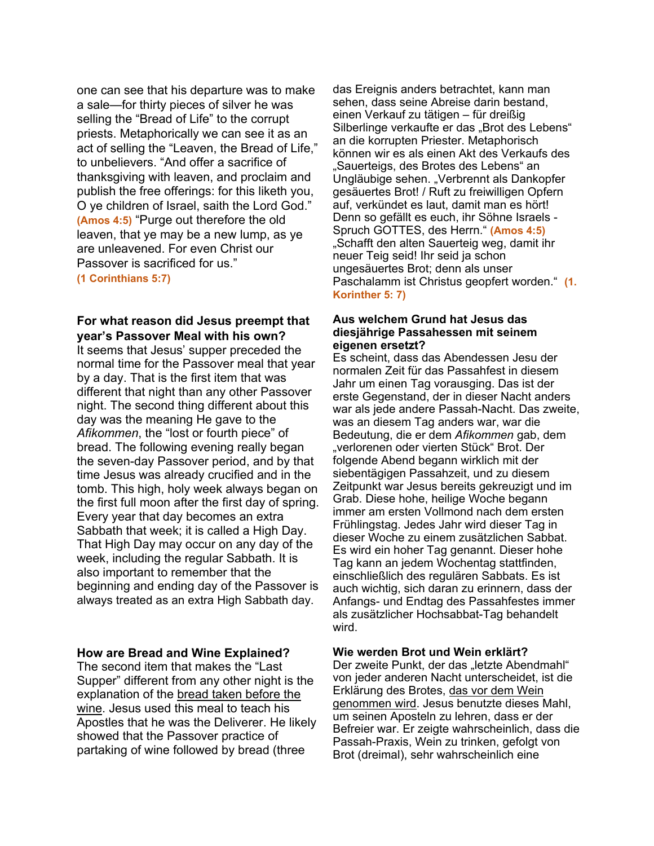one can see that his departure was to make a sale—for thirty pieces of silver he was selling the "Bread of Life" to the corrupt priests. Metaphorically we can see it as an act of selling the "Leaven, the Bread of Life," to unbelievers. "And offer a sacrifice of thanksgiving with leaven, and proclaim and publish the free offerings: for this liketh you, O ye children of Israel, saith the Lord God." **(Amos 4:5)** "Purge out therefore the old leaven, that ye may be a new lump, as ye are unleavened. For even Christ our Passover is sacrificed for us." **(1 Corinthians 5:7)**

# **For what reason did Jesus preempt that year's Passover Meal with his own?**

It seems that Jesus' supper preceded the normal time for the Passover meal that year by a day. That is the first item that was different that night than any other Passover night. The second thing different about this day was the meaning He gave to the *Afikommen*, the "lost or fourth piece" of bread. The following evening really began the seven-day Passover period, and by that time Jesus was already crucified and in the tomb. This high, holy week always began on the first full moon after the first day of spring. Every year that day becomes an extra Sabbath that week; it is called a High Day. That High Day may occur on any day of the week, including the regular Sabbath. It is also important to remember that the beginning and ending day of the Passover is always treated as an extra High Sabbath day.

### **How are Bread and Wine Explained?**

The second item that makes the "Last Supper" different from any other night is the explanation of the bread taken before the wine. Jesus used this meal to teach his Apostles that he was the Deliverer. He likely showed that the Passover practice of partaking of wine followed by bread (three

das Ereignis anders betrachtet, kann man sehen, dass seine Abreise darin bestand, einen Verkauf zu tätigen – für dreißig Silberlinge verkaufte er das "Brot des Lebens" an die korrupten Priester. Metaphorisch können wir es als einen Akt des Verkaufs des "Sauerteigs, des Brotes des Lebens" an Ungläubige sehen. "Verbrennt als Dankopfer gesäuertes Brot! / Ruft zu freiwilligen Opfern auf, verkündet es laut, damit man es hört! Denn so gefällt es euch, ihr Söhne Israels - Spruch GOTTES, des Herrn." **(Amos 4:5)** "Schafft den alten Sauerteig weg, damit ihr neuer Teig seid! Ihr seid ja schon ungesäuertes Brot; denn als unser Paschalamm ist Christus geopfert worden." **(1. Korinther 5: 7)**

#### **Aus welchem Grund hat Jesus das diesjährige Passahessen mit seinem eigenen ersetzt?**

Es scheint, dass das Abendessen Jesu der normalen Zeit für das Passahfest in diesem Jahr um einen Tag vorausging. Das ist der erste Gegenstand, der in dieser Nacht anders war als jede andere Passah-Nacht. Das zweite, was an diesem Tag anders war, war die Bedeutung, die er dem *Afikommen* gab, dem "verlorenen oder vierten Stück" Brot. Der folgende Abend begann wirklich mit der siebentägigen Passahzeit, und zu diesem Zeitpunkt war Jesus bereits gekreuzigt und im Grab. Diese hohe, heilige Woche begann immer am ersten Vollmond nach dem ersten Frühlingstag. Jedes Jahr wird dieser Tag in dieser Woche zu einem zusätzlichen Sabbat. Es wird ein hoher Tag genannt. Dieser hohe Tag kann an jedem Wochentag stattfinden, einschließlich des regulären Sabbats. Es ist auch wichtig, sich daran zu erinnern, dass der Anfangs- und Endtag des Passahfestes immer als zusätzlicher Hochsabbat-Tag behandelt wird.

#### **Wie werden Brot und Wein erklärt?**

Der zweite Punkt, der das "letzte Abendmahl" von jeder anderen Nacht unterscheidet, ist die Erklärung des Brotes, das vor dem Wein genommen wird. Jesus benutzte dieses Mahl, um seinen Aposteln zu lehren, dass er der Befreier war. Er zeigte wahrscheinlich, dass die Passah-Praxis, Wein zu trinken, gefolgt von Brot (dreimal), sehr wahrscheinlich eine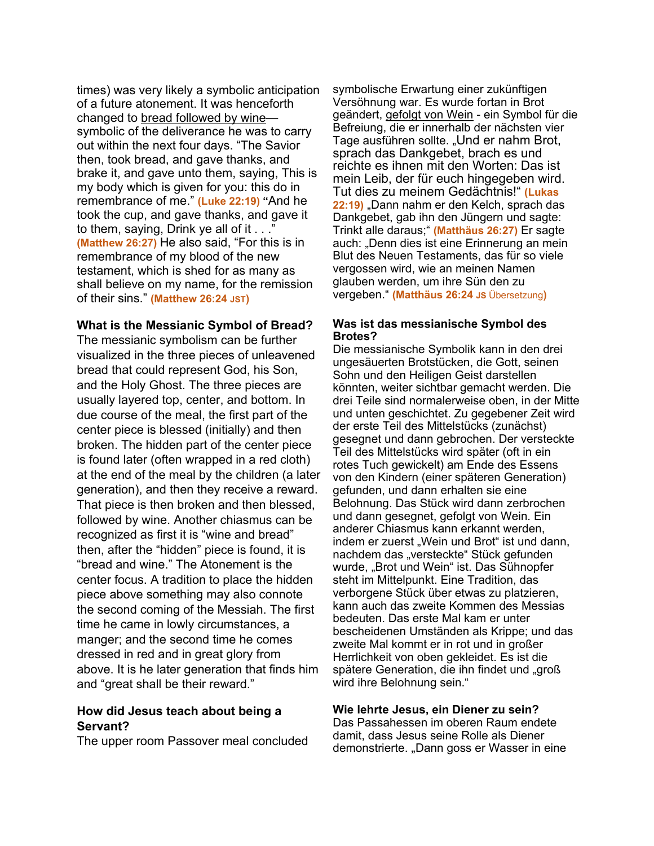times) was very likely a symbolic anticipation of a future atonement. It was henceforth changed to bread followed by wine symbolic of the deliverance he was to carry out within the next four days. "The Savior then, took bread, and gave thanks, and brake it, and gave unto them, saying, This is my body which is given for you: this do in remembrance of me." **(Luke 22:19) "**And he took the cup, and gave thanks, and gave it to them, saying, Drink ye all of it . . ." **(Matthew 26:27)** He also said, "For this is in remembrance of my blood of the new testament, which is shed for as many as shall believe on my name, for the remission of their sins." **(Matthew 26:24 JST)**

### **What is the Messianic Symbol of Bread?**

The messianic symbolism can be further visualized in the three pieces of unleavened bread that could represent God, his Son, and the Holy Ghost. The three pieces are usually layered top, center, and bottom. In due course of the meal, the first part of the center piece is blessed (initially) and then broken. The hidden part of the center piece is found later (often wrapped in a red cloth) at the end of the meal by the children (a later generation), and then they receive a reward. That piece is then broken and then blessed, followed by wine. Another chiasmus can be recognized as first it is "wine and bread" then, after the "hidden" piece is found, it is "bread and wine." The Atonement is the center focus. A tradition to place the hidden piece above something may also connote the second coming of the Messiah. The first time he came in lowly circumstances, a manger; and the second time he comes dressed in red and in great glory from above. It is he later generation that finds him and "great shall be their reward."

# **How did Jesus teach about being a Servant?**

The upper room Passover meal concluded

symbolische Erwartung einer zukünftigen Versöhnung war. Es wurde fortan in Brot geändert, gefolgt von Wein - ein Symbol für die Befreiung, die er innerhalb der nächsten vier Tage ausführen sollte. "Und er nahm Brot, sprach das Dankgebet, brach es und reichte es ihnen mit den Worten: Das ist mein Leib, der für euch hingegeben wird. Tut dies zu meinem Gedächtnis!" **(Lukas 22:19)** "Dann nahm er den Kelch, sprach das Dankgebet, gab ihn den Jüngern und sagte: Trinkt alle daraus;" **(Matthäus 26:27)** Er sagte auch: "Denn dies ist eine Erinnerung an mein Blut des Neuen Testaments, das für so viele vergossen wird, wie an meinen Namen glauben werden, um ihre Sün den zu vergeben." **(Matthäus 26:24 JS** Übersetzung**)**

### **Was ist das messianische Symbol des Brotes?**

Die messianische Symbolik kann in den drei ungesäuerten Brotstücken, die Gott, seinen Sohn und den Heiligen Geist darstellen könnten, weiter sichtbar gemacht werden. Die drei Teile sind normalerweise oben, in der Mitte und unten geschichtet. Zu gegebener Zeit wird der erste Teil des Mittelstücks (zunächst) gesegnet und dann gebrochen. Der versteckte Teil des Mittelstücks wird später (oft in ein rotes Tuch gewickelt) am Ende des Essens von den Kindern (einer späteren Generation) gefunden, und dann erhalten sie eine Belohnung. Das Stück wird dann zerbrochen und dann gesegnet, gefolgt von Wein. Ein anderer Chiasmus kann erkannt werden, indem er zuerst "Wein und Brot" ist und dann, nachdem das "versteckte" Stück gefunden wurde, "Brot und Wein" ist. Das Sühnopfer steht im Mittelpunkt. Eine Tradition, das verborgene Stück über etwas zu platzieren, kann auch das zweite Kommen des Messias bedeuten. Das erste Mal kam er unter bescheidenen Umständen als Krippe; und das zweite Mal kommt er in rot und in großer Herrlichkeit von oben gekleidet. Es ist die spätere Generation, die ihn findet und "groß wird ihre Belohnung sein."

### **Wie lehrte Jesus, ein Diener zu sein?**

Das Passahessen im oberen Raum endete damit, dass Jesus seine Rolle als Diener demonstrierte. "Dann goss er Wasser in eine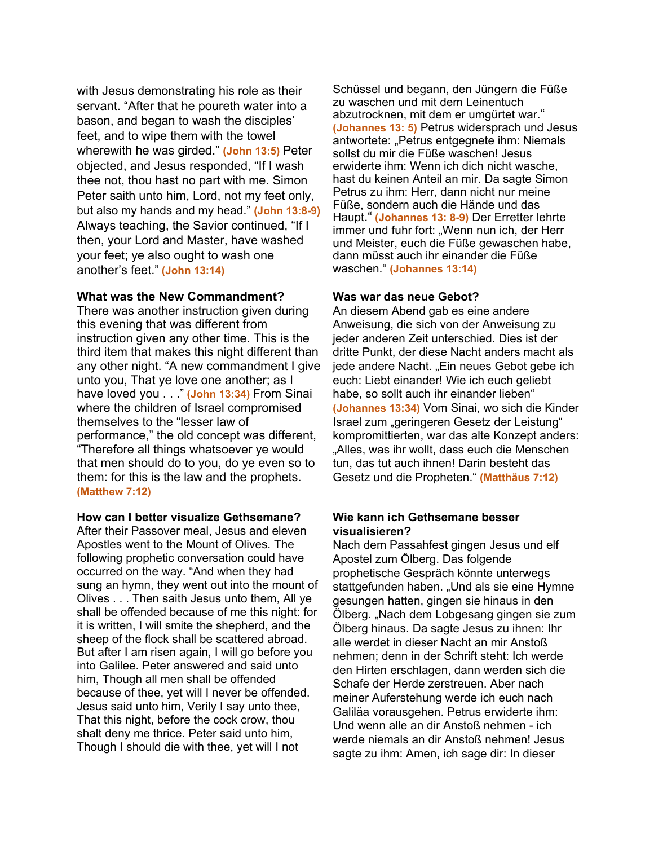with Jesus demonstrating his role as their servant. "After that he poureth water into a bason, and began to wash the disciples' feet, and to wipe them with the towel wherewith he was girded." **(John 13:5)** Peter objected, and Jesus responded, "If I wash thee not, thou hast no part with me. Simon Peter saith unto him, Lord, not my feet only, but also my hands and my head." **(John 13:8-9)** Always teaching, the Savior continued, "If I then, your Lord and Master, have washed your feet; ye also ought to wash one another's feet." **(John 13:14)**

# **What was the New Commandment?**

There was another instruction given during this evening that was different from instruction given any other time. This is the third item that makes this night different than any other night. "A new commandment I give unto you, That ye love one another; as I have loved you . . ." **(John 13:34)** From Sinai where the children of Israel compromised themselves to the "lesser law of performance," the old concept was different, "Therefore all things whatsoever ye would that men should do to you, do ye even so to them: for this is the law and the prophets. **(Matthew 7:12)**

### **How can I better visualize Gethsemane?**

After their Passover meal, Jesus and eleven Apostles went to the Mount of Olives. The following prophetic conversation could have occurred on the way. "And when they had sung an hymn, they went out into the mount of Olives . . . Then saith Jesus unto them, All ye shall be offended because of me this night: for it is written, I will smite the shepherd, and the sheep of the flock shall be scattered abroad. But after I am risen again, I will go before you into Galilee. Peter answered and said unto him, Though all men shall be offended because of thee, yet will I never be offended. Jesus said unto him, Verily I say unto thee, That this night, before the cock crow, thou shalt deny me thrice. Peter said unto him, Though I should die with thee, yet will I not

Schüssel und begann, den Jüngern die Füße zu waschen und mit dem Leinentuch abzutrocknen, mit dem er umgürtet war." **(Johannes 13: 5)** Petrus widersprach und Jesus antwortete: "Petrus entgegnete ihm: Niemals sollst du mir die Füße waschen! Jesus erwiderte ihm: Wenn ich dich nicht wasche, hast du keinen Anteil an mir. Da sagte Simon Petrus zu ihm: Herr, dann nicht nur meine Füße, sondern auch die Hände und das Haupt." **(Johannes 13: 8-9)** Der Erretter lehrte immer und fuhr fort: "Wenn nun ich, der Herr und Meister, euch die Füße gewaschen habe, dann müsst auch ihr einander die Füße waschen." **(Johannes 13:14)**

# **Was war das neue Gebot?**

An diesem Abend gab es eine andere Anweisung, die sich von der Anweisung zu jeder anderen Zeit unterschied. Dies ist der dritte Punkt, der diese Nacht anders macht als jede andere Nacht. "Ein neues Gebot gebe ich euch: Liebt einander! Wie ich euch geliebt habe, so sollt auch ihr einander lieben" **(Johannes 13:34)** Vom Sinai, wo sich die Kinder Israel zum "geringeren Gesetz der Leistung" kompromittierten, war das alte Konzept anders: "Alles, was ihr wollt, dass euch die Menschen tun, das tut auch ihnen! Darin besteht das Gesetz und die Propheten." **(Matthäus 7:12)**

# **Wie kann ich Gethsemane besser visualisieren?**

Nach dem Passahfest gingen Jesus und elf Apostel zum Ölberg. Das folgende prophetische Gespräch könnte unterwegs stattgefunden haben. "Und als sie eine Hymne gesungen hatten, gingen sie hinaus in den Ölberg. "Nach dem Lobgesang gingen sie zum Ölberg hinaus. Da sagte Jesus zu ihnen: Ihr alle werdet in dieser Nacht an mir Anstoß nehmen; denn in der Schrift steht: Ich werde den Hirten erschlagen, dann werden sich die Schafe der Herde zerstreuen. Aber nach meiner Auferstehung werde ich euch nach Galiläa vorausgehen. Petrus erwiderte ihm: Und wenn alle an dir Anstoß nehmen - ich werde niemals an dir Anstoß nehmen! Jesus sagte zu ihm: Amen, ich sage dir: In dieser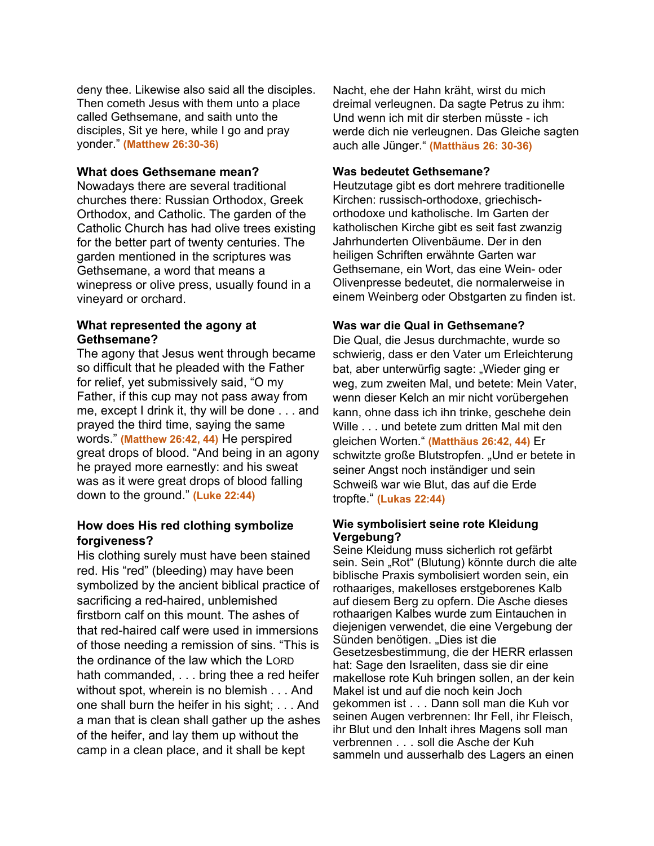deny thee. Likewise also said all the disciples. Then cometh Jesus with them unto a place called Gethsemane, and saith unto the disciples, Sit ye here, while I go and pray yonder." **(Matthew 26:30-36)**

# **What does Gethsemane mean?**

Nowadays there are several traditional churches there: Russian Orthodox, Greek Orthodox, and Catholic. The garden of the Catholic Church has had olive trees existing for the better part of twenty centuries. The garden mentioned in the scriptures was Gethsemane, a word that means a winepress or olive press, usually found in a vineyard or orchard.

# **What represented the agony at Gethsemane?**

The agony that Jesus went through became so difficult that he pleaded with the Father for relief, yet submissively said, "O my Father, if this cup may not pass away from me, except I drink it, thy will be done . . . and prayed the third time, saying the same words." **(Matthew 26:42, 44)** He perspired great drops of blood. "And being in an agony he prayed more earnestly: and his sweat was as it were great drops of blood falling down to the ground." **(Luke 22:44)**

# **How does His red clothing symbolize forgiveness?**

His clothing surely must have been stained red. His "red" (bleeding) may have been symbolized by the ancient biblical practice of sacrificing a red-haired, unblemished firstborn calf on this mount. The ashes of that red-haired calf were used in immersions of those needing a remission of sins. "This is the ordinance of the law which the LORD hath commanded, . . . bring thee a red heifer without spot, wherein is no blemish . . . And one shall burn the heifer in his sight; . . . And a man that is clean shall gather up the ashes of the heifer, and lay them up without the camp in a clean place, and it shall be kept

Nacht, ehe der Hahn kräht, wirst du mich dreimal verleugnen. Da sagte Petrus zu ihm: Und wenn ich mit dir sterben müsste - ich werde dich nie verleugnen. Das Gleiche sagten auch alle Jünger." **(Matthäus 26: 30-36)**

# **Was bedeutet Gethsemane?**

Heutzutage gibt es dort mehrere traditionelle Kirchen: russisch-orthodoxe, griechischorthodoxe und katholische. Im Garten der katholischen Kirche gibt es seit fast zwanzig Jahrhunderten Olivenbäume. Der in den heiligen Schriften erwähnte Garten war Gethsemane, ein Wort, das eine Wein- oder Olivenpresse bedeutet, die normalerweise in einem Weinberg oder Obstgarten zu finden ist.

# **Was war die Qual in Gethsemane?**

Die Qual, die Jesus durchmachte, wurde so schwierig, dass er den Vater um Erleichterung bat, aber unterwürfig sagte: "Wieder ging er weg, zum zweiten Mal, und betete: Mein Vater, wenn dieser Kelch an mir nicht vorübergehen kann, ohne dass ich ihn trinke, geschehe dein Wille . . . und betete zum dritten Mal mit den gleichen Worten." **(Matthäus 26:42, 44)** Er schwitzte große Blutstropfen. "Und er betete in seiner Angst noch inständiger und sein Schweiß war wie Blut, das auf die Erde tropfte." **(Lukas 22:44)**

### **Wie symbolisiert seine rote Kleidung Vergebung?**

Seine Kleidung muss sicherlich rot gefärbt sein. Sein "Rot" (Blutung) könnte durch die alte biblische Praxis symbolisiert worden sein, ein rothaariges, makelloses erstgeborenes Kalb auf diesem Berg zu opfern. Die Asche dieses rothaarigen Kalbes wurde zum Eintauchen in diejenigen verwendet, die eine Vergebung der Sünden benötigen. "Dies ist die Gesetzesbestimmung, die der HERR erlassen hat: Sage den Israeliten, dass sie dir eine makellose rote Kuh bringen sollen, an der kein Makel ist und auf die noch kein Joch gekommen ist . . . Dann soll man die Kuh vor seinen Augen verbrennen: Ihr Fell, ihr Fleisch, ihr Blut und den Inhalt ihres Magens soll man verbrennen . . . soll die Asche der Kuh sammeln und ausserhalb des Lagers an einen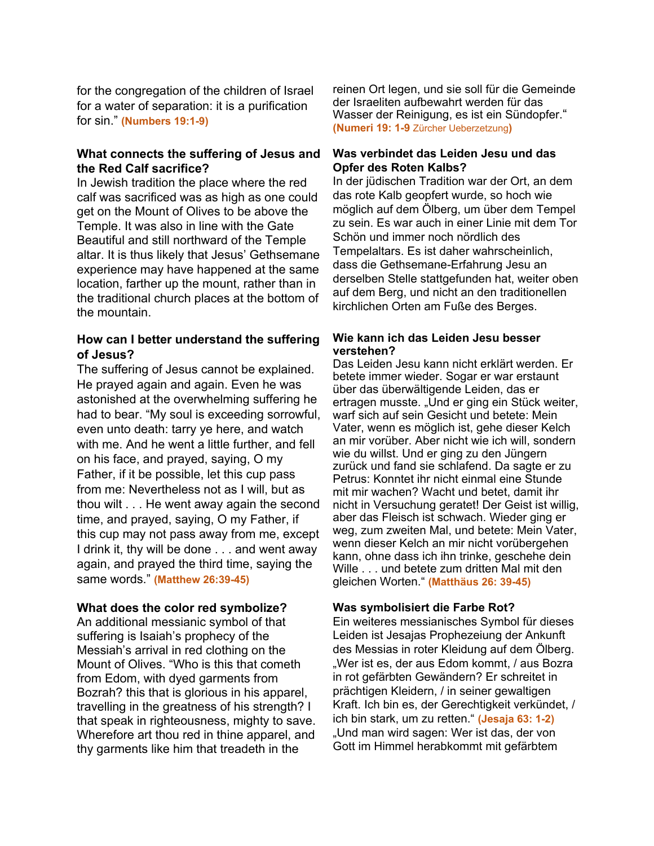for the congregation of the children of Israel for a water of separation: it is a purification for sin." **(Numbers 19:1-9)**

# **What connects the suffering of Jesus and the Red Calf sacrifice?**

In Jewish tradition the place where the red calf was sacrificed was as high as one could get on the Mount of Olives to be above the Temple. It was also in line with the Gate Beautiful and still northward of the Temple altar. It is thus likely that Jesus' Gethsemane experience may have happened at the same location, farther up the mount, rather than in the traditional church places at the bottom of the mountain.

# **How can I better understand the suffering of Jesus?**

The suffering of Jesus cannot be explained. He prayed again and again. Even he was astonished at the overwhelming suffering he had to bear. "My soul is exceeding sorrowful, even unto death: tarry ye here, and watch with me. And he went a little further, and fell on his face, and prayed, saying, O my Father, if it be possible, let this cup pass from me: Nevertheless not as I will, but as thou wilt . . . He went away again the second time, and prayed, saying, O my Father, if this cup may not pass away from me, except I drink it, thy will be done . . . and went away again, and prayed the third time, saying the same words." **(Matthew 26:39-45)**

# **What does the color red symbolize?**

An additional messianic symbol of that suffering is Isaiah's prophecy of the Messiah's arrival in red clothing on the Mount of Olives. "Who is this that cometh from Edom, with dyed garments from Bozrah? this that is glorious in his apparel, travelling in the greatness of his strength? I that speak in righteousness, mighty to save. Wherefore art thou red in thine apparel, and thy garments like him that treadeth in the

reinen Ort legen, und sie soll für die Gemeinde der Israeliten aufbewahrt werden für das Wasser der Reinigung, es ist ein Sündopfer." **(Numeri 19: 1-9** Zürcher Ueberzetzung**)**

# **Was verbindet das Leiden Jesu und das Opfer des Roten Kalbs?**

In der jüdischen Tradition war der Ort, an dem das rote Kalb geopfert wurde, so hoch wie möglich auf dem Ölberg, um über dem Tempel zu sein. Es war auch in einer Linie mit dem Tor Schön und immer noch nördlich des Tempelaltars. Es ist daher wahrscheinlich, dass die Gethsemane-Erfahrung Jesu an derselben Stelle stattgefunden hat, weiter oben auf dem Berg, und nicht an den traditionellen kirchlichen Orten am Fuße des Berges.

## **Wie kann ich das Leiden Jesu besser verstehen?**

Das Leiden Jesu kann nicht erklärt werden. Er betete immer wieder. Sogar er war erstaunt über das überwältigende Leiden, das er ertragen musste. "Und er ging ein Stück weiter, warf sich auf sein Gesicht und betete: Mein Vater, wenn es möglich ist, gehe dieser Kelch an mir vorüber. Aber nicht wie ich will, sondern wie du willst. Und er ging zu den Jüngern zurück und fand sie schlafend. Da sagte er zu Petrus: Konntet ihr nicht einmal eine Stunde mit mir wachen? Wacht und betet, damit ihr nicht in Versuchung geratet! Der Geist ist willig, aber das Fleisch ist schwach. Wieder ging er weg, zum zweiten Mal, und betete: Mein Vater, wenn dieser Kelch an mir nicht vorübergehen kann, ohne dass ich ihn trinke, geschehe dein Wille . . . und betete zum dritten Mal mit den gleichen Worten." **(Matthäus 26: 39-45)**

# **Was symbolisiert die Farbe Rot?**

Ein weiteres messianisches Symbol für dieses Leiden ist Jesajas Prophezeiung der Ankunft des Messias in roter Kleidung auf dem Ölberg. "Wer ist es, der aus Edom kommt, / aus Bozra in rot gefärbten Gewändern? Er schreitet in prächtigen Kleidern, / in seiner gewaltigen Kraft. Ich bin es, der Gerechtigkeit verkündet, / ich bin stark, um zu retten." **(Jesaja 63: 1-2)** "Und man wird sagen: Wer ist das, der von Gott im Himmel herabkommt mit gefärbtem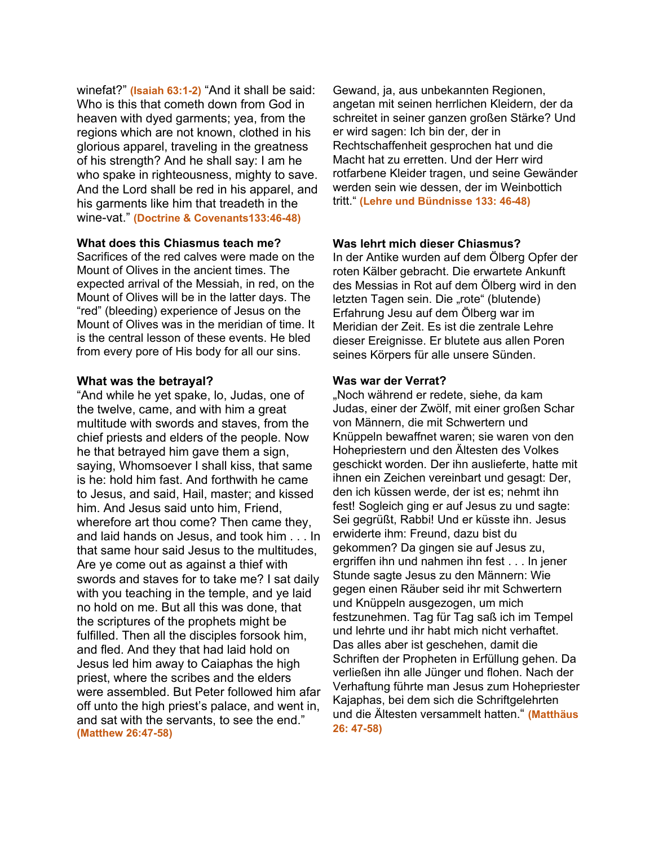winefat?" **(Isaiah 63:1-2)** "And it shall be said: Who is this that cometh down from God in heaven with dyed garments; yea, from the regions which are not known, clothed in his glorious apparel, traveling in the greatness of his strength? And he shall say: I am he who spake in righteousness, mighty to save. And the Lord shall be red in his apparel, and his garments like him that treadeth in the wine-vat." **(Doctrine & Covenants133:46-48)**

### **What does this Chiasmus teach me?**

Sacrifices of the red calves were made on the Mount of Olives in the ancient times. The expected arrival of the Messiah, in red, on the Mount of Olives will be in the latter days. The "red" (bleeding) experience of Jesus on the Mount of Olives was in the meridian of time. It is the central lesson of these events. He bled from every pore of His body for all our sins.

#### **What was the betrayal?**

"And while he yet spake, lo, Judas, one of the twelve, came, and with him a great multitude with swords and staves, from the chief priests and elders of the people. Now he that betrayed him gave them a sign, saying, Whomsoever I shall kiss, that same is he: hold him fast. And forthwith he came to Jesus, and said, Hail, master; and kissed him. And Jesus said unto him, Friend, wherefore art thou come? Then came they, and laid hands on Jesus, and took him . . . In that same hour said Jesus to the multitudes, Are ye come out as against a thief with swords and staves for to take me? I sat daily with you teaching in the temple, and ye laid no hold on me. But all this was done, that the scriptures of the prophets might be fulfilled. Then all the disciples forsook him, and fled. And they that had laid hold on Jesus led him away to Caiaphas the high priest, where the scribes and the elders were assembled. But Peter followed him afar off unto the high priest's palace, and went in, and sat with the servants, to see the end." **(Matthew 26:47-58)**

Gewand, ja, aus unbekannten Regionen, angetan mit seinen herrlichen Kleidern, der da schreitet in seiner ganzen großen Stärke? Und er wird sagen: Ich bin der, der in Rechtschaffenheit gesprochen hat und die Macht hat zu erretten. Und der Herr wird rotfarbene Kleider tragen, und seine Gewänder werden sein wie dessen, der im Weinbottich tritt." **(Lehre und Bündnisse 133: 46-48)**

## **Was lehrt mich dieser Chiasmus?**

In der Antike wurden auf dem Ölberg Opfer der roten Kälber gebracht. Die erwartete Ankunft des Messias in Rot auf dem Ölberg wird in den letzten Tagen sein. Die "rote" (blutende) Erfahrung Jesu auf dem Ölberg war im Meridian der Zeit. Es ist die zentrale Lehre dieser Ereignisse. Er blutete aus allen Poren seines Körpers für alle unsere Sünden.

#### **Was war der Verrat?**

"Noch während er redete, siehe, da kam Judas, einer der Zwölf, mit einer großen Schar von Männern, die mit Schwertern und Knüppeln bewaffnet waren; sie waren von den Hohepriestern und den Ältesten des Volkes geschickt worden. Der ihn auslieferte, hatte mit ihnen ein Zeichen vereinbart und gesagt: Der, den ich küssen werde, der ist es; nehmt ihn fest! Sogleich ging er auf Jesus zu und sagte: Sei gegrüßt, Rabbi! Und er küsste ihn. Jesus erwiderte ihm: Freund, dazu bist du gekommen? Da gingen sie auf Jesus zu, ergriffen ihn und nahmen ihn fest . . . In jener Stunde sagte Jesus zu den Männern: Wie gegen einen Räuber seid ihr mit Schwertern und Knüppeln ausgezogen, um mich festzunehmen. Tag für Tag saß ich im Tempel und lehrte und ihr habt mich nicht verhaftet. Das alles aber ist geschehen, damit die Schriften der Propheten in Erfüllung gehen. Da verließen ihn alle Jünger und flohen. Nach der Verhaftung führte man Jesus zum Hohepriester Kajaphas, bei dem sich die Schriftgelehrten und die Ältesten versammelt hatten." **(Matthäus 26: 47-58)**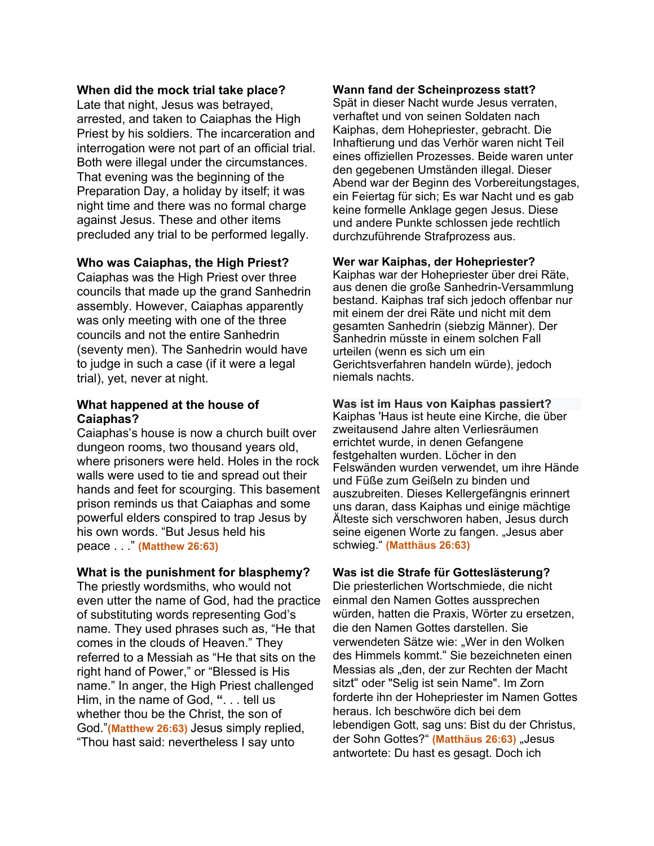## **When did the mock trial take place?**

Late that night, Jesus was betrayed, arrested, and taken to Caiaphas the High Priest by his soldiers. The incarceration and interrogation were not part of an official trial. Both were illegal under the circumstances. That evening was the beginning of the Preparation Day, a holiday by itself; it was night time and there was no formal charge against Jesus. These and other items precluded any trial to be performed legally.

# **Who was Caiaphas, the High Priest?**

Caiaphas was the High Priest over three councils that made up the grand Sanhedrin assembly. However, Caiaphas apparently was only meeting with one of the three councils and not the entire Sanhedrin (seventy men). The Sanhedrin would have to judge in such a case (if it were a legal trial), yet, never at night.

# **What happened at the house of Caiaphas?**

Caiaphas's house is now a church built over dungeon rooms, two thousand years old, where prisoners were held. Holes in the rock walls were used to tie and spread out their hands and feet for scourging. This basement prison reminds us that Caiaphas and some powerful elders conspired to trap Jesus by his own words. "But Jesus held his peace . . ." **(Matthew 26:63)**

### **What is the punishment for blasphemy?**

The priestly wordsmiths, who would not even utter the name of God, had the practice of substituting words representing God's name. They used phrases such as, "He that comes in the clouds of Heaven." They referred to a Messiah as "He that sits on the right hand of Power," or "Blessed is His name." In anger, the High Priest challenged Him, in the name of God, **"**. . . tell us whether thou be the Christ, the son of God."**(Matthew 26:63)** Jesus simply replied, "Thou hast said: nevertheless I say unto

#### **Wann fand der Scheinprozess statt?**

Spät in dieser Nacht wurde Jesus verraten, verhaftet und von seinen Soldaten nach Kaiphas, dem Hohepriester, gebracht. Die Inhaftierung und das Verhör waren nicht Teil eines offiziellen Prozesses. Beide waren unter den gegebenen Umständen illegal. Dieser Abend war der Beginn des Vorbereitungstages, ein Feiertag für sich; Es war Nacht und es gab keine formelle Anklage gegen Jesus. Diese und andere Punkte schlossen jede rechtlich durchzuführende Strafprozess aus.

# **Wer war Kaiphas, der Hohepriester?**

Kaiphas war der Hohepriester über drei Räte, aus denen die große Sanhedrin-Versammlung bestand. Kaiphas traf sich jedoch offenbar nur mit einem der drei Räte und nicht mit dem gesamten Sanhedrin (siebzig Männer). Der Sanhedrin müsste in einem solchen Fall urteilen (wenn es sich um ein Gerichtsverfahren handeln würde), jedoch niemals nachts.

# **Was ist im Haus von Kaiphas passiert?**

Kaiphas 'Haus ist heute eine Kirche, die über zweitausend Jahre alten Verliesräumen errichtet wurde, in denen Gefangene festgehalten wurden. Löcher in den Felswänden wurden verwendet, um ihre Hände und Füße zum Geißeln zu binden und auszubreiten. Dieses Kellergefängnis erinnert uns daran, dass Kaiphas und einige mächtige Älteste sich verschworen haben, Jesus durch seine eigenen Worte zu fangen. "Jesus aber schwieg." **(Matthäus 26:63)**

### **Was ist die Strafe für Gotteslästerung?**

Die priesterlichen Wortschmiede, die nicht einmal den Namen Gottes aussprechen würden, hatten die Praxis, Wörter zu ersetzen, die den Namen Gottes darstellen. Sie verwendeten Sätze wie: "Wer in den Wolken des Himmels kommt." Sie bezeichneten einen Messias als "den, der zur Rechten der Macht sitzt" oder "Selig ist sein Name". Im Zorn forderte ihn der Hohepriester im Namen Gottes heraus. Ich beschwöre dich bei dem lebendigen Gott, sag uns: Bist du der Christus, der Sohn Gottes?" (Matthäus 26:63) "Jesus antwortete: Du hast es gesagt. Doch ich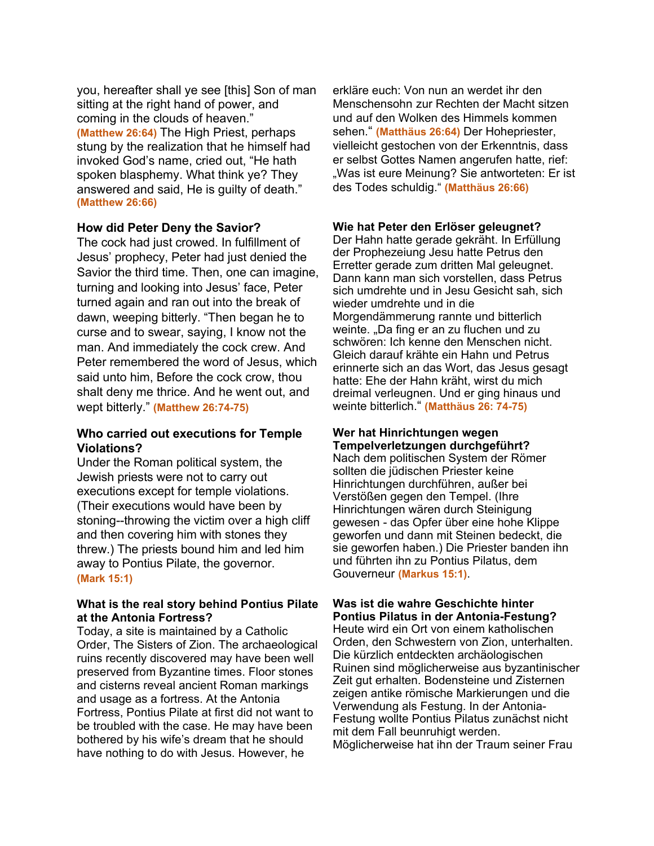you, hereafter shall ye see [this] Son of man sitting at the right hand of power, and coming in the clouds of heaven." **(Matthew 26:64)** The High Priest, perhaps stung by the realization that he himself had invoked God's name, cried out, "He hath spoken blasphemy. What think ye? They answered and said, He is guilty of death." **(Matthew 26:66)**

### **How did Peter Deny the Savior?**

The cock had just crowed. In fulfillment of Jesus' prophecy, Peter had just denied the Savior the third time. Then, one can imagine, turning and looking into Jesus' face, Peter turned again and ran out into the break of dawn, weeping bitterly. "Then began he to curse and to swear, saying, I know not the man. And immediately the cock crew. And Peter remembered the word of Jesus, which said unto him, Before the cock crow, thou shalt deny me thrice. And he went out, and wept bitterly." **(Matthew 26:74-75)**

# **Who carried out executions for Temple Violations?**

Under the Roman political system, the Jewish priests were not to carry out executions except for temple violations. (Their executions would have been by stoning--throwing the victim over a high cliff and then covering him with stones they threw.) The priests bound him and led him away to Pontius Pilate, the governor. **(Mark 15:1)**

# **What is the real story behind Pontius Pilate at the Antonia Fortress?**

Today, a site is maintained by a Catholic Order, The Sisters of Zion. The archaeological ruins recently discovered may have been well preserved from Byzantine times. Floor stones and cisterns reveal ancient Roman markings and usage as a fortress. At the Antonia Fortress, Pontius Pilate at first did not want to be troubled with the case. He may have been bothered by his wife's dream that he should have nothing to do with Jesus. However, he

erkläre euch: Von nun an werdet ihr den Menschensohn zur Rechten der Macht sitzen und auf den Wolken des Himmels kommen sehen." **(Matthäus 26:64)** Der Hohepriester, vielleicht gestochen von der Erkenntnis, dass er selbst Gottes Namen angerufen hatte, rief: "Was ist eure Meinung? Sie antworteten: Er ist des Todes schuldig." **(Matthäus 26:66)**

# **Wie hat Peter den Erlöser geleugnet?**

Der Hahn hatte gerade gekräht. In Erfüllung der Prophezeiung Jesu hatte Petrus den Erretter gerade zum dritten Mal geleugnet. Dann kann man sich vorstellen, dass Petrus sich umdrehte und in Jesu Gesicht sah, sich wieder umdrehte und in die Morgendämmerung rannte und bitterlich weinte. "Da fing er an zu fluchen und zu schwören: Ich kenne den Menschen nicht. Gleich darauf krähte ein Hahn und Petrus erinnerte sich an das Wort, das Jesus gesagt hatte: Ehe der Hahn kräht, wirst du mich dreimal verleugnen. Und er ging hinaus und weinte bitterlich." **(Matthäus 26: 74-75)**

# **Wer hat Hinrichtungen wegen Tempelverletzungen durchgeführt?**

Nach dem politischen System der Römer sollten die jüdischen Priester keine Hinrichtungen durchführen, außer bei Verstößen gegen den Tempel. (Ihre Hinrichtungen wären durch Steinigung gewesen - das Opfer über eine hohe Klippe geworfen und dann mit Steinen bedeckt, die sie geworfen haben.) Die Priester banden ihn und führten ihn zu Pontius Pilatus, dem Gouverneur **(Markus 15:1)**.

# **Was ist die wahre Geschichte hinter Pontius Pilatus in der Antonia-Festung?**

Heute wird ein Ort von einem katholischen Orden, den Schwestern von Zion, unterhalten. Die kürzlich entdeckten archäologischen Ruinen sind möglicherweise aus byzantinischer Zeit gut erhalten. Bodensteine und Zisternen zeigen antike römische Markierungen und die Verwendung als Festung. In der Antonia-Festung wollte Pontius Pilatus zunächst nicht mit dem Fall beunruhigt werden. Möglicherweise hat ihn der Traum seiner Frau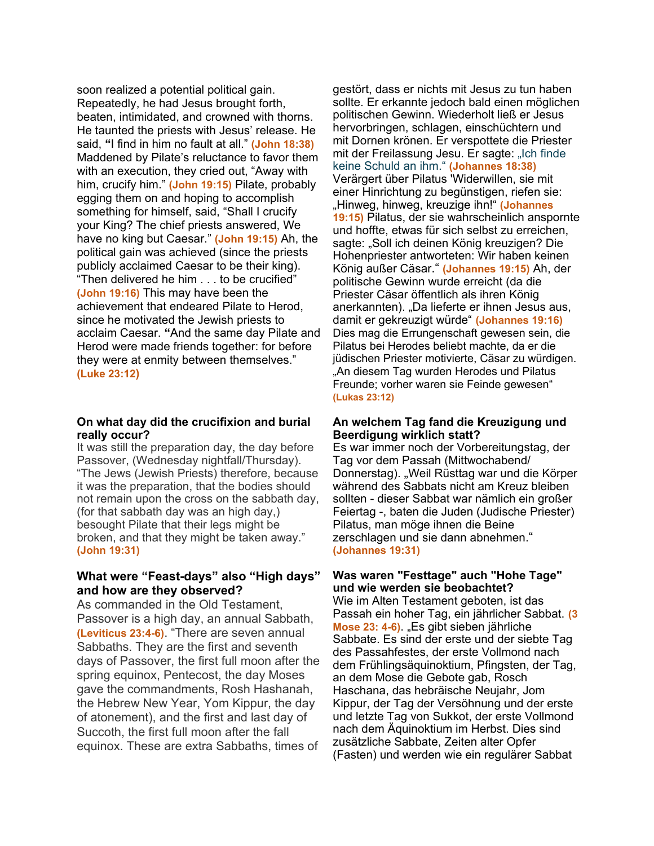soon realized a potential political gain. Repeatedly, he had Jesus brought forth, beaten, intimidated, and crowned with thorns. He taunted the priests with Jesus' release. He said, **"**I find in him no fault at all." **(John 18:38)** Maddened by Pilate's reluctance to favor them with an execution, they cried out, "Away with him, crucify him." **(John 19:15)** Pilate, probably egging them on and hoping to accomplish something for himself, said, "Shall I crucify your King? The chief priests answered, We have no king but Caesar." **(John 19:15)** Ah, the political gain was achieved (since the priests publicly acclaimed Caesar to be their king). "Then delivered he him . . . to be crucified" **(John 19:16)** This may have been the achievement that endeared Pilate to Herod, since he motivated the Jewish priests to acclaim Caesar. **"**And the same day Pilate and Herod were made friends together: for before they were at enmity between themselves." **(Luke 23:12)**

#### **On what day did the crucifixion and burial really occur?**

It was still the preparation day, the day before Passover, (Wednesday nightfall/Thursday). "The Jews (Jewish Priests) therefore, because it was the preparation, that the bodies should not remain upon the cross on the sabbath day, (for that sabbath day was an high day,) besought Pilate that their legs might be broken, and that they might be taken away." **(John 19:31)**

# **What were "Feast-days" also "High days" and how are they observed?**

As commanded in the Old Testament, Passover is a high day, an annual Sabbath, **(Leviticus 23:4-6)**. "There are seven annual Sabbaths. They are the first and seventh days of Passover, the first full moon after the spring equinox, Pentecost, the day Moses gave the commandments, Rosh Hashanah, the Hebrew New Year, Yom Kippur, the day of atonement), and the first and last day of Succoth, the first full moon after the fall equinox. These are extra Sabbaths, times of

gestört, dass er nichts mit Jesus zu tun haben sollte. Er erkannte jedoch bald einen möglichen politischen Gewinn. Wiederholt ließ er Jesus hervorbringen, schlagen, einschüchtern und mit Dornen krönen. Er verspottete die Priester mit der Freilassung Jesu. Er sagte: "Ich finde keine Schuld an ihm." **(Johannes 18:38)** Verärgert über Pilatus 'Widerwillen, sie mit einer Hinrichtung zu begünstigen, riefen sie: "Hinweg, hinweg, kreuzige ihn!" **(Johannes 19:15)** Pilatus, der sie wahrscheinlich anspornte und hoffte, etwas für sich selbst zu erreichen, sagte: "Soll ich deinen König kreuzigen? Die Hohenpriester antworteten: Wir haben keinen König außer Cäsar." **(Johannes 19:15)** Ah, der politische Gewinn wurde erreicht (da die Priester Cäsar öffentlich als ihren König anerkannten). "Da lieferte er ihnen Jesus aus, damit er gekreuzigt würde" **(Johannes 19:16)** Dies mag die Errungenschaft gewesen sein, die Pilatus bei Herodes beliebt machte, da er die jüdischen Priester motivierte, Cäsar zu würdigen. "An diesem Tag wurden Herodes und Pilatus Freunde; vorher waren sie Feinde gewesen" **(Lukas 23:12)**

#### **An welchem Tag fand die Kreuzigung und Beerdigung wirklich statt?**

Es war immer noch der Vorbereitungstag, der Tag vor dem Passah (Mittwochabend/ Donnerstag). "Weil Rüsttag war und die Körper während des Sabbats nicht am Kreuz bleiben sollten - dieser Sabbat war nämlich ein großer Feiertag -, baten die Juden (Judische Priester) Pilatus, man möge ihnen die Beine zerschlagen und sie dann abnehmen." **(Johannes 19:31)**

# **Was waren "Festtage" auch "Hohe Tage" und wie werden sie beobachtet?**

Wie im Alten Testament geboten, ist das Passah ein hoher Tag, ein jährlicher Sabbat. **(3 Mose 23: 4-6).** "Es gibt sieben jährliche Sabbate. Es sind der erste und der siebte Tag des Passahfestes, der erste Vollmond nach dem Frühlingsäquinoktium, Pfingsten, der Tag, an dem Mose die Gebote gab, Rosch Haschana, das hebräische Neujahr, Jom Kippur, der Tag der Versöhnung und der erste und letzte Tag von Sukkot, der erste Vollmond nach dem Äquinoktium im Herbst. Dies sind zusätzliche Sabbate, Zeiten alter Opfer (Fasten) und werden wie ein regulärer Sabbat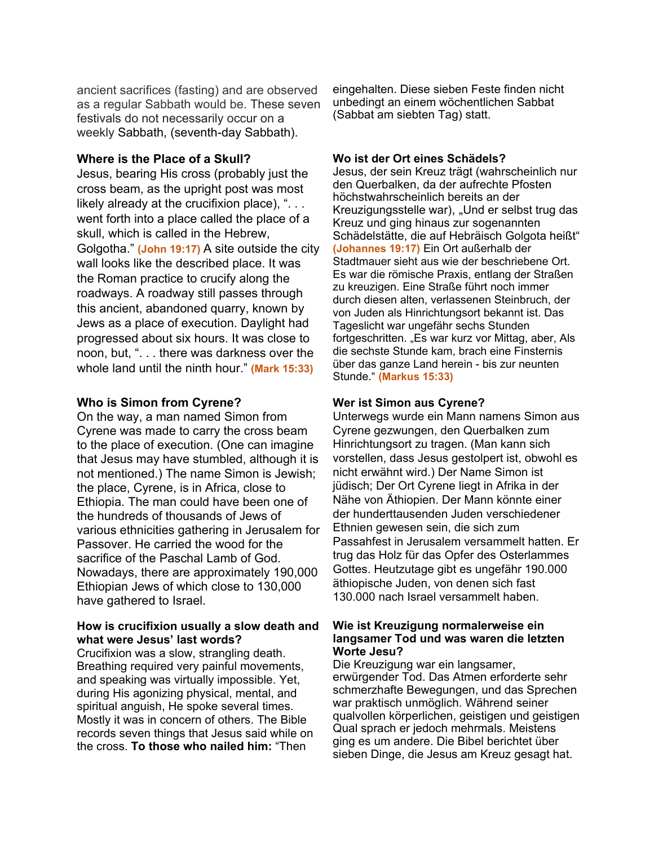ancient sacrifices (fasting) and are observed as a regular Sabbath would be. These seven festivals do not necessarily occur on a weekly Sabbath, (seventh-day Sabbath).

# **Where is the Place of a Skull?**

Jesus, bearing His cross (probably just the cross beam, as the upright post was most likely already at the crucifixion place), "... went forth into a place called the place of a skull, which is called in the Hebrew, Golgotha." **(John 19:17)** A site outside the city wall looks like the described place. It was the Roman practice to crucify along the roadways. A roadway still passes through this ancient, abandoned quarry, known by Jews as a place of execution. Daylight had progressed about six hours. It was close to noon, but, ". . . there was darkness over the whole land until the ninth hour." **(Mark 15:33)**

# **Who is Simon from Cyrene?**

On the way, a man named Simon from Cyrene was made to carry the cross beam to the place of execution. (One can imagine that Jesus may have stumbled, although it is not mentioned.) The name Simon is Jewish; the place, Cyrene, is in Africa, close to Ethiopia. The man could have been one of the hundreds of thousands of Jews of various ethnicities gathering in Jerusalem for Passover. He carried the wood for the sacrifice of the Paschal Lamb of God. Nowadays, there are approximately 190,000 Ethiopian Jews of which close to 130,000 have gathered to Israel.

# **How is crucifixion usually a slow death and what were Jesus' last words?**

Crucifixion was a slow, strangling death. Breathing required very painful movements, and speaking was virtually impossible. Yet, during His agonizing physical, mental, and spiritual anguish, He spoke several times. Mostly it was in concern of others. The Bible records seven things that Jesus said while on the cross. **To those who nailed him:** "Then

eingehalten. Diese sieben Feste finden nicht unbedingt an einem wöchentlichen Sabbat (Sabbat am siebten Tag) statt.

# **Wo ist der Ort eines Schädels?**

Jesus, der sein Kreuz trägt (wahrscheinlich nur den Querbalken, da der aufrechte Pfosten höchstwahrscheinlich bereits an der Kreuzigungsstelle war), "Und er selbst trug das Kreuz und ging hinaus zur sogenannten Schädelstätte, die auf Hebräisch Golgota heißt" **(Johannes 19:17)** Ein Ort außerhalb der Stadtmauer sieht aus wie der beschriebene Ort. Es war die römische Praxis, entlang der Straßen zu kreuzigen. Eine Straße führt noch immer durch diesen alten, verlassenen Steinbruch, der von Juden als Hinrichtungsort bekannt ist. Das Tageslicht war ungefähr sechs Stunden fortgeschritten. "Es war kurz vor Mittag, aber, Als die sechste Stunde kam, brach eine Finsternis über das ganze Land herein - bis zur neunten Stunde." **(Markus 15:33)**

# **Wer ist Simon aus Cyrene?**

Unterwegs wurde ein Mann namens Simon aus Cyrene gezwungen, den Querbalken zum Hinrichtungsort zu tragen. (Man kann sich vorstellen, dass Jesus gestolpert ist, obwohl es nicht erwähnt wird.) Der Name Simon ist jüdisch; Der Ort Cyrene liegt in Afrika in der Nähe von Äthiopien. Der Mann könnte einer der hunderttausenden Juden verschiedener Ethnien gewesen sein, die sich zum Passahfest in Jerusalem versammelt hatten. Er trug das Holz für das Opfer des Osterlammes Gottes. Heutzutage gibt es ungefähr 190.000 äthiopische Juden, von denen sich fast 130.000 nach Israel versammelt haben.

#### **Wie ist Kreuzigung normalerweise ein langsamer Tod und was waren die letzten Worte Jesu?**

Die Kreuzigung war ein langsamer, erwürgender Tod. Das Atmen erforderte sehr schmerzhafte Bewegungen, und das Sprechen war praktisch unmöglich. Während seiner qualvollen körperlichen, geistigen und geistigen Qual sprach er jedoch mehrmals. Meistens ging es um andere. Die Bibel berichtet über sieben Dinge, die Jesus am Kreuz gesagt hat.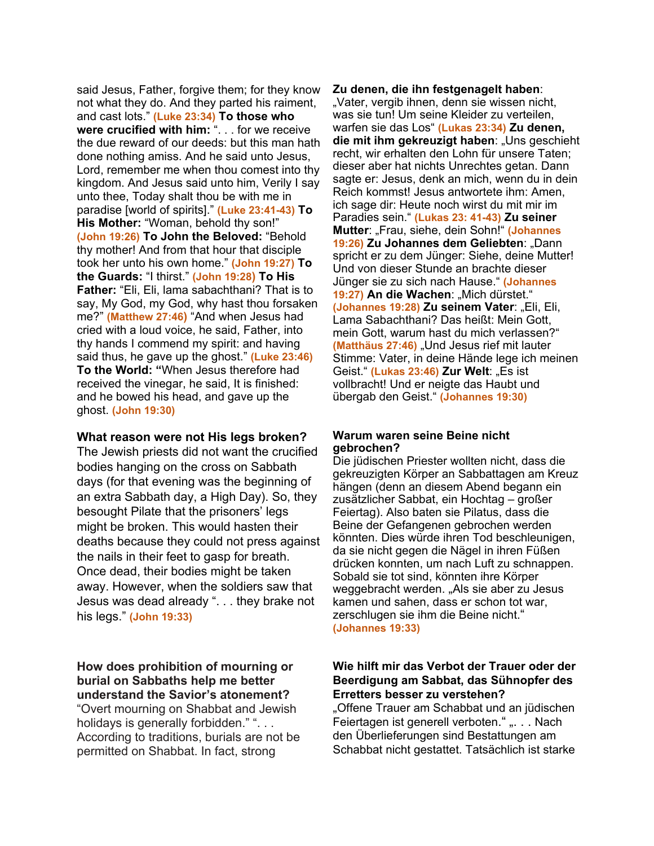said Jesus, Father, forgive them; for they know not what they do. And they parted his raiment, and cast lots." **(Luke 23:34) To those who were crucified with him:** ". . . for we receive the due reward of our deeds: but this man hath done nothing amiss. And he said unto Jesus, Lord, remember me when thou comest into thy kingdom. And Jesus said unto him, Verily I say unto thee, Today shalt thou be with me in paradise [world of spirits]." **(Luke 23:41-43) To His Mother:** "Woman, behold thy son!" **(John 19:26) To John the Beloved:** "Behold thy mother! And from that hour that disciple took her unto his own home." **(John 19:27) To the Guards:** "I thirst." **(John 19:28) To His Father:** "Eli, Eli, lama sabachthani? That is to say, My God, my God, why hast thou forsaken me?" **(Matthew 27:46)** "And when Jesus had cried with a loud voice, he said, Father, into thy hands I commend my spirit: and having said thus, he gave up the ghost." **(Luke 23:46) To the World: "**When Jesus therefore had received the vinegar, he said, It is finished: and he bowed his head, and gave up the ghost. **(John 19:30)**

### **What reason were not His legs broken?**

The Jewish priests did not want the crucified bodies hanging on the cross on Sabbath days (for that evening was the beginning of an extra Sabbath day, a High Day). So, they besought Pilate that the prisoners' legs might be broken. This would hasten their deaths because they could not press against the nails in their feet to gasp for breath. Once dead, their bodies might be taken away. However, when the soldiers saw that Jesus was dead already ". . . they brake not his legs." **(John 19:33)**

# **How does prohibition of mourning or burial on Sabbaths help me better understand the Savior's atonement?**

"Overt mourning on Shabbat and Jewish holidays is generally forbidden." "... According to traditions, burials are not be permitted on Shabbat. In fact, strong

#### **Zu denen, die ihn festgenagelt haben**:

"Vater, vergib ihnen, denn sie wissen nicht. was sie tun! Um seine Kleider zu verteilen, warfen sie das Los" **(Lukas 23:34) Zu denen, die mit ihm gekreuzigt haben**: "Uns geschieht recht, wir erhalten den Lohn für unsere Taten; dieser aber hat nichts Unrechtes getan. Dann sagte er: Jesus, denk an mich, wenn du in dein Reich kommst! Jesus antwortete ihm: Amen, ich sage dir: Heute noch wirst du mit mir im Paradies sein." **(Lukas 23: 41-43) Zu seiner Mutter**: "Frau, siehe, dein Sohn!" **(Johannes 19:26) Zu Johannes dem Geliebten**: "Dann spricht er zu dem Jünger: Siehe, deine Mutter! Und von dieser Stunde an brachte dieser Jünger sie zu sich nach Hause." **(Johannes**  19:27) An die Wachen: "Mich dürstet." **(Johannes 19:28) Zu seinem Vater**: "Eli, Eli, Lama Sabachthani? Das heißt: Mein Gott, mein Gott, warum hast du mich verlassen?" **(Matthäus 27:46)** "Und Jesus rief mit lauter Stimme: Vater, in deine Hände lege ich meinen Geist." **(Lukas 23:46) Zur Welt:** "Es ist vollbracht! Und er neigte das Haubt und übergab den Geist." **(Johannes 19:30)**

#### **Warum waren seine Beine nicht gebrochen?**

Die jüdischen Priester wollten nicht, dass die gekreuzigten Körper an Sabbattagen am Kreuz hängen (denn an diesem Abend begann ein zusätzlicher Sabbat, ein Hochtag – großer Feiertag). Also baten sie Pilatus, dass die Beine der Gefangenen gebrochen werden könnten. Dies würde ihren Tod beschleunigen, da sie nicht gegen die Nägel in ihren Füßen drücken konnten, um nach Luft zu schnappen. Sobald sie tot sind, könnten ihre Körper weggebracht werden. "Als sie aber zu Jesus kamen und sahen, dass er schon tot war, zerschlugen sie ihm die Beine nicht." **(Johannes 19:33)**

# **Wie hilft mir das Verbot der Trauer oder der Beerdigung am Sabbat, das Sühnopfer des Erretters besser zu verstehen?**

"Offene Trauer am Schabbat und an jüdischen Feiertagen ist generell verboten." ". . . Nach den Überlieferungen sind Bestattungen am Schabbat nicht gestattet. Tatsächlich ist starke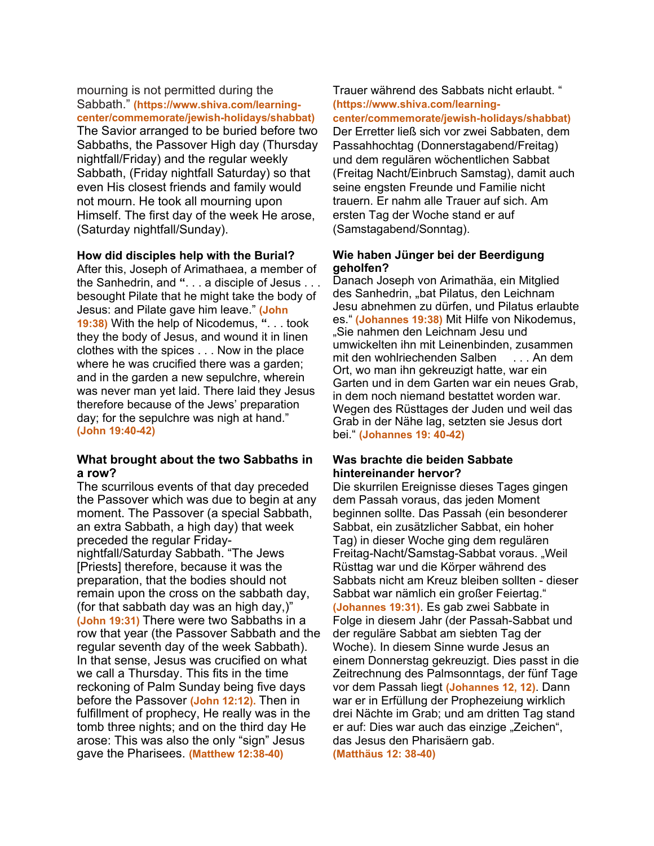#### mourning is not permitted during the Sabbath." **(https://www.shiva.com/learningcenter/commemorate/jewish-holidays/shabbat)**

The Savior arranged to be buried before two Sabbaths, the Passover High day (Thursday nightfall/Friday) and the regular weekly Sabbath, (Friday nightfall Saturday) so that even His closest friends and family would not mourn. He took all mourning upon Himself. The first day of the week He arose, (Saturday nightfall/Sunday).

### **How did disciples help with the Burial?**

After this, Joseph of Arimathaea, a member of the Sanhedrin, and **"**. . . a disciple of Jesus . . . besought Pilate that he might take the body of Jesus: and Pilate gave him leave." **(John 19:38)** With the help of Nicodemus, **"**. . . took they the body of Jesus, and wound it in linen clothes with the spices . . . Now in the place where he was crucified there was a garden; and in the garden a new sepulchre, wherein was never man yet laid. There laid they Jesus therefore because of the Jews' preparation day; for the sepulchre was nigh at hand." **(John 19:40-42)**

### **What brought about the two Sabbaths in a row?**

The scurrilous events of that day preceded the Passover which was due to begin at any moment. The Passover (a special Sabbath, an extra Sabbath, a high day) that week preceded the regular Fridaynightfall/Saturday Sabbath. "The Jews [Priests] therefore, because it was the preparation, that the bodies should not remain upon the cross on the sabbath day, (for that sabbath day was an high day,)" **(John 19:31)** There were two Sabbaths in a row that year (the Passover Sabbath and the regular seventh day of the week Sabbath). In that sense, Jesus was crucified on what we call a Thursday. This fits in the time reckoning of Palm Sunday being five days before the Passover **(John 12:12).** Then in fulfillment of prophecy, He really was in the tomb three nights; and on the third day He arose: This was also the only "sign" Jesus gave the Pharisees. **(Matthew 12:38-40)**

# Trauer während des Sabbats nicht erlaubt. " **(https://www.shiva.com/learning-**

**center/commemorate/jewish-holidays/shabbat)** Der Erretter ließ sich vor zwei Sabbaten, dem Passahhochtag (Donnerstagabend/Freitag) und dem regulären wöchentlichen Sabbat (Freitag Nacht/Einbruch Samstag), damit auch seine engsten Freunde und Familie nicht trauern. Er nahm alle Trauer auf sich. Am ersten Tag der Woche stand er auf (Samstagabend/Sonntag).

# **Wie haben Jünger bei der Beerdigung geholfen?**

Danach Joseph von Arimathäa, ein Mitglied des Sanhedrin, "bat Pilatus, den Leichnam Jesu abnehmen zu dürfen, und Pilatus erlaubte es." **(Johannes 19:38)** Mit Hilfe von Nikodemus, "Sie nahmen den Leichnam Jesu und umwickelten ihn mit Leinenbinden, zusammen<br>mit den wohlriechenden Salben . . . An dem mit den wohlriechenden Salben Ort, wo man ihn gekreuzigt hatte, war ein Garten und in dem Garten war ein neues Grab, in dem noch niemand bestattet worden war. Wegen des Rüsttages der Juden und weil das Grab in der Nähe lag, setzten sie Jesus dort bei." **(Johannes 19: 40-42)**

# **Was brachte die beiden Sabbate hintereinander hervor?**

Die skurrilen Ereignisse dieses Tages gingen dem Passah voraus, das jeden Moment beginnen sollte. Das Passah (ein besonderer Sabbat, ein zusätzlicher Sabbat, ein hoher Tag) in dieser Woche ging dem regulären Freitag-Nacht/Samstag-Sabbat voraus. "Weil Rüsttag war und die Körper während des Sabbats nicht am Kreuz bleiben sollten - dieser Sabbat war nämlich ein großer Feiertag." **(Johannes 19:31)**. Es gab zwei Sabbate in Folge in diesem Jahr (der Passah-Sabbat und der reguläre Sabbat am siebten Tag der Woche). In diesem Sinne wurde Jesus an einem Donnerstag gekreuzigt. Dies passt in die Zeitrechnung des Palmsonntags, der fünf Tage vor dem Passah liegt **(Johannes 12, 12)**. Dann war er in Erfüllung der Prophezeiung wirklich drei Nächte im Grab; und am dritten Tag stand er auf: Dies war auch das einzige "Zeichen", das Jesus den Pharisäern gab. **(Matthäus 12: 38-40)**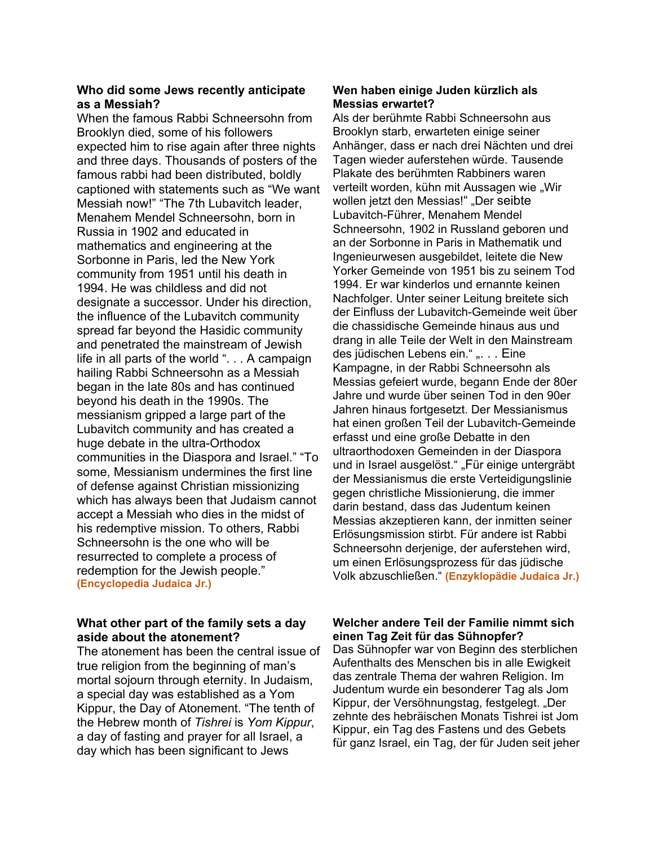# **Who did some Jews recently anticipate as a Messiah?**

When the famous Rabbi Schneersohn from Brooklyn died, some of his followers expected him to rise again after three nights and three days. Thousands of posters of the famous rabbi had been distributed, boldly captioned with statements such as "We want Messiah now!" "The 7th Lubavitch leader, Menahem Mendel Schneersohn, born in Russia in 1902 and educated in mathematics and engineering at the Sorbonne in Paris, led the New York community from 1951 until his death in 1994. He was childless and did not designate a successor. Under his direction, the influence of the Lubavitch community spread far beyond the Hasidic community and penetrated the mainstream of Jewish life in all parts of the world ". . . A campaign hailing Rabbi Schneersohn as a Messiah began in the late 80s and has continued beyond his death in the 1990s. The messianism gripped a large part of the Lubavitch community and has created a huge debate in the ultra-Orthodox communities in the Diaspora and Israel." "To some, Messianism undermines the first line of defense against Christian missionizing which has always been that Judaism cannot accept a Messiah who dies in the midst of his redemptive mission. To others, Rabbi Schneersohn is the one who will be resurrected to complete a process of redemption for the Jewish people." **(Encyclopedia Judaica Jr.)**

# **What other part of the family sets a day aside about the atonement?**

The atonement has been the central issue of true religion from the beginning of man's mortal sojourn through eternity. In Judaism, a special day was established as a Yom Kippur, the Day of Atonement. "The tenth of the Hebrew month of *Tishrei* is *Yom Kippur*, a day of fasting and prayer for all Israel, a day which has been significant to Jews

# **Wen haben einige Juden kürzlich als Messias erwartet?**

Als der berühmte Rabbi Schneersohn aus Brooklyn starb, erwarteten einige seiner Anhänger, dass er nach drei Nächten und drei Tagen wieder auferstehen würde. Tausende Plakate des berühmten Rabbiners waren verteilt worden, kühn mit Aussagen wie "Wir wollen jetzt den Messias!" "Der seibte Lubavitch-Führer, Menahem Mendel Schneersohn, 1902 in Russland geboren und an der Sorbonne in Paris in Mathematik und Ingenieurwesen ausgebildet, leitete die New Yorker Gemeinde von 1951 bis zu seinem Tod 1994. Er war kinderlos und ernannte keinen Nachfolger. Unter seiner Leitung breitete sich der Einfluss der Lubavitch-Gemeinde weit über die chassidische Gemeinde hinaus aus und drang in alle Teile der Welt in den Mainstream des jüdischen Lebens ein." "... Eine Kampagne, in der Rabbi Schneersohn als Messias gefeiert wurde, begann Ende der 80er Jahre und wurde über seinen Tod in den 90er Jahren hinaus fortgesetzt. Der Messianismus hat einen großen Teil der Lubavitch-Gemeinde erfasst und eine große Debatte in den ultraorthodoxen Gemeinden in der Diaspora und in Israel ausgelöst." "Für einige untergräbt der Messianismus die erste Verteidigungslinie gegen christliche Missionierung, die immer darin bestand, dass das Judentum keinen Messias akzeptieren kann, der inmitten seiner Erlösungsmission stirbt. Für andere ist Rabbi Schneersohn derjenige, der auferstehen wird, um einen Erlösungsprozess für das jüdische Volk abzuschließen." **(Enzyklopädie Judaica Jr.)**

# **Welcher andere Teil der Familie nimmt sich einen Tag Zeit für das Sühnopfer?**

Das Sühnopfer war von Beginn des sterblichen Aufenthalts des Menschen bis in alle Ewigkeit das zentrale Thema der wahren Religion. Im Judentum wurde ein besonderer Tag als Jom Kippur, der Versöhnungstag, festgelegt. "Der zehnte des hebräischen Monats Tishrei ist Jom Kippur, ein Tag des Fastens und des Gebets für ganz Israel, ein Tag, der für Juden seit jeher